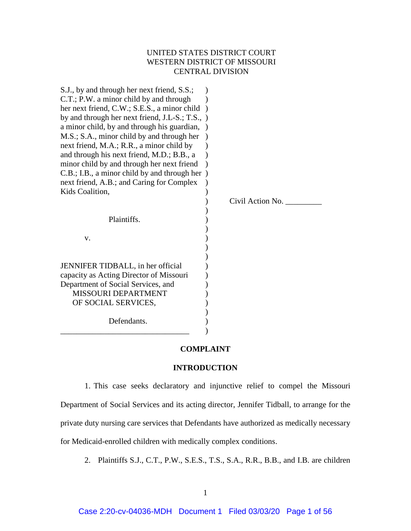# UNITED STATES DISTRICT COURT WESTERN DISTRICT OF MISSOURI CENTRAL DIVISION

| S.J., by and through her next friend, S.S.;<br>C.T.; P.W. a minor child by and through<br>her next friend, C.W.; S.E.S., a minor child<br>by and through her next friend, J.L-S.; T.S., )<br>a minor child, by and through his guardian,<br>M.S.; S.A., minor child by and through her |                  |
|----------------------------------------------------------------------------------------------------------------------------------------------------------------------------------------------------------------------------------------------------------------------------------------|------------------|
| next friend, M.A.; R.R., a minor child by                                                                                                                                                                                                                                              |                  |
| and through his next friend, M.D.; B.B., a                                                                                                                                                                                                                                             |                  |
| minor child by and through her next friend                                                                                                                                                                                                                                             |                  |
| C.B.; I.B., a minor child by and through her)                                                                                                                                                                                                                                          |                  |
| next friend, A.B.; and Caring for Complex                                                                                                                                                                                                                                              |                  |
| Kids Coalition,                                                                                                                                                                                                                                                                        |                  |
|                                                                                                                                                                                                                                                                                        | Civil Action No. |
|                                                                                                                                                                                                                                                                                        |                  |
| Plaintiffs.                                                                                                                                                                                                                                                                            |                  |
| V.                                                                                                                                                                                                                                                                                     |                  |
|                                                                                                                                                                                                                                                                                        |                  |
|                                                                                                                                                                                                                                                                                        |                  |
| JENNIFER TIDBALL, in her official                                                                                                                                                                                                                                                      |                  |
| capacity as Acting Director of Missouri                                                                                                                                                                                                                                                |                  |
| Department of Social Services, and                                                                                                                                                                                                                                                     |                  |
| MISSOURI DEPARTMENT                                                                                                                                                                                                                                                                    |                  |
| OF SOCIAL SERVICES,                                                                                                                                                                                                                                                                    |                  |
| Defendants.                                                                                                                                                                                                                                                                            |                  |

#### **COMPLAINT**

### **INTRODUCTION**

1. This case seeks declaratory and injunctive relief to compel the Missouri Department of Social Services and its acting director, Jennifer Tidball, to arrange for the private duty nursing care services that Defendants have authorized as medically necessary for Medicaid-enrolled children with medically complex conditions.

2. Plaintiffs S.J., C.T., P.W., S.E.S., T.S., S.A., R.R., B.B., and I.B. are children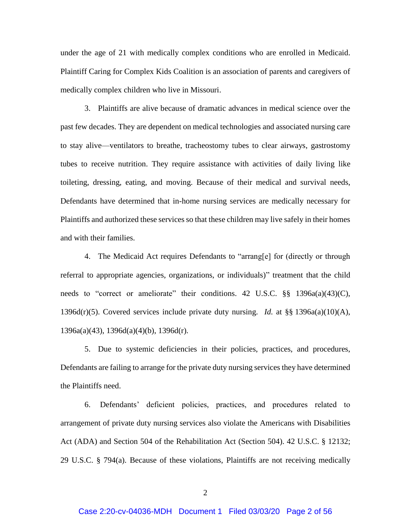under the age of 21 with medically complex conditions who are enrolled in Medicaid. Plaintiff Caring for Complex Kids Coalition is an association of parents and caregivers of medically complex children who live in Missouri.

3. Plaintiffs are alive because of dramatic advances in medical science over the past few decades. They are dependent on medical technologies and associated nursing care to stay alive—ventilators to breathe, tracheostomy tubes to clear airways, gastrostomy tubes to receive nutrition. They require assistance with activities of daily living like toileting, dressing, eating, and moving. Because of their medical and survival needs, Defendants have determined that in-home nursing services are medically necessary for Plaintiffs and authorized these services so that these children may live safely in their homes and with their families.

4. The Medicaid Act requires Defendants to "arrang[e] for (directly or through referral to appropriate agencies, organizations, or individuals)" treatment that the child needs to "correct or ameliorate" their conditions. 42 U.S.C. §§ 1396a(a)(43)(C), 1396d(r)(5). Covered services include private duty nursing. *Id.* at §§ 1396a(a)(10)(A), 1396a(a)(43), 1396d(a)(4)(b), 1396d(r).

5. Due to systemic deficiencies in their policies, practices, and procedures, Defendants are failing to arrange for the private duty nursing services they have determined the Plaintiffs need.

6. Defendants' deficient policies, practices, and procedures related to arrangement of private duty nursing services also violate the Americans with Disabilities Act (ADA) and Section 504 of the Rehabilitation Act (Section 504). 42 U.S.C. § 12132; 29 U.S.C. § 794(a). Because of these violations, Plaintiffs are not receiving medically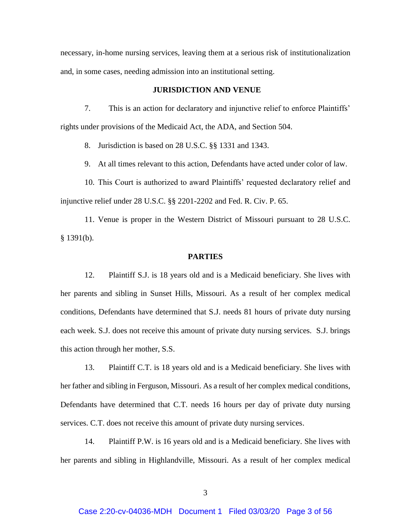necessary, in-home nursing services, leaving them at a serious risk of institutionalization and, in some cases, needing admission into an institutional setting.

# **JURISDICTION AND VENUE**

7. This is an action for declaratory and injunctive relief to enforce Plaintiffs' rights under provisions of the Medicaid Act, the ADA, and Section 504.

8. Jurisdiction is based on 28 U.S.C. §§ 1331 and 1343.

9. At all times relevant to this action, Defendants have acted under color of law.

10. This Court is authorized to award Plaintiffs' requested declaratory relief and injunctive relief under 28 U.S.C. §§ 2201-2202 and Fed. R. Civ. P. 65.

11. Venue is proper in the Western District of Missouri pursuant to 28 U.S.C. § 1391(b).

### **PARTIES**

12. Plaintiff S.J. is 18 years old and is a Medicaid beneficiary. She lives with her parents and sibling in Sunset Hills, Missouri. As a result of her complex medical conditions, Defendants have determined that S.J. needs 81 hours of private duty nursing each week. S.J. does not receive this amount of private duty nursing services. S.J. brings this action through her mother, S.S.

13. Plaintiff C.T. is 18 years old and is a Medicaid beneficiary. She lives with her father and sibling in Ferguson, Missouri. As a result of her complex medical conditions, Defendants have determined that C.T. needs 16 hours per day of private duty nursing services. C.T. does not receive this amount of private duty nursing services.

14. Plaintiff P.W. is 16 years old and is a Medicaid beneficiary. She lives with her parents and sibling in Highlandville, Missouri. As a result of her complex medical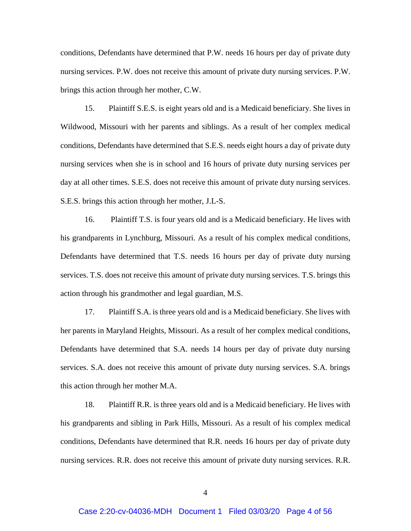conditions, Defendants have determined that P.W. needs 16 hours per day of private duty nursing services. P.W. does not receive this amount of private duty nursing services. P.W. brings this action through her mother, C.W.

15. Plaintiff S.E.S. is eight years old and is a Medicaid beneficiary. She lives in Wildwood, Missouri with her parents and siblings. As a result of her complex medical conditions, Defendants have determined that S.E.S. needs eight hours a day of private duty nursing services when she is in school and 16 hours of private duty nursing services per day at all other times. S.E.S. does not receive this amount of private duty nursing services. S.E.S. brings this action through her mother, J.L-S.

16. Plaintiff T.S. is four years old and is a Medicaid beneficiary. He lives with his grandparents in Lynchburg, Missouri. As a result of his complex medical conditions, Defendants have determined that T.S. needs 16 hours per day of private duty nursing services. T.S. does not receive this amount of private duty nursing services. T.S. brings this action through his grandmother and legal guardian, M.S.

17. Plaintiff S.A. is three years old and is a Medicaid beneficiary. She lives with her parents in Maryland Heights, Missouri. As a result of her complex medical conditions, Defendants have determined that S.A. needs 14 hours per day of private duty nursing services. S.A. does not receive this amount of private duty nursing services. S.A. brings this action through her mother M.A.

18. Plaintiff R.R. is three years old and is a Medicaid beneficiary. He lives with his grandparents and sibling in Park Hills, Missouri. As a result of his complex medical conditions, Defendants have determined that R.R. needs 16 hours per day of private duty nursing services. R.R. does not receive this amount of private duty nursing services. R.R.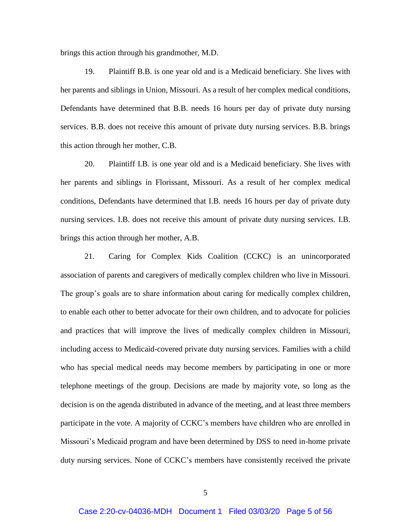brings this action through his grandmother, M.D.

19. Plaintiff B.B. is one year old and is a Medicaid beneficiary. She lives with her parents and siblings in Union, Missouri. As a result of her complex medical conditions, Defendants have determined that B.B. needs 16 hours per day of private duty nursing services. B.B. does not receive this amount of private duty nursing services. B.B. brings this action through her mother, C.B.

20. Plaintiff I.B. is one year old and is a Medicaid beneficiary. She lives with her parents and siblings in Florissant, Missouri. As a result of her complex medical conditions, Defendants have determined that I.B. needs 16 hours per day of private duty nursing services. I.B. does not receive this amount of private duty nursing services. I.B. brings this action through her mother, A.B.

21. Caring for Complex Kids Coalition (CCKC) is an unincorporated association of parents and caregivers of medically complex children who live in Missouri. The group's goals are to share information about caring for medically complex children, to enable each other to better advocate for their own children, and to advocate for policies and practices that will improve the lives of medically complex children in Missouri, including access to Medicaid-covered private duty nursing services. Families with a child who has special medical needs may become members by participating in one or more telephone meetings of the group. Decisions are made by majority vote, so long as the decision is on the agenda distributed in advance of the meeting, and at least three members participate in the vote. A majority of CCKC's members have children who are enrolled in Missouri's Medicaid program and have been determined by DSS to need in-home private duty nursing services. None of CCKC's members have consistently received the private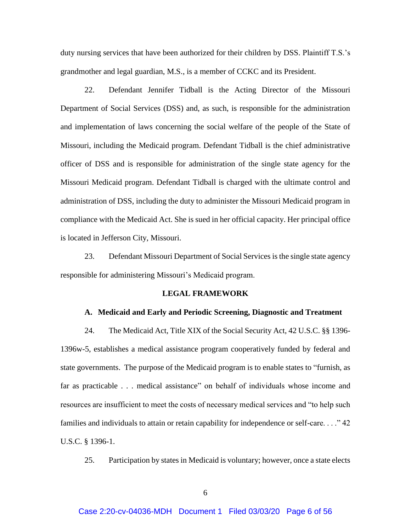duty nursing services that have been authorized for their children by DSS. Plaintiff T.S.'s grandmother and legal guardian, M.S., is a member of CCKC and its President.

22. Defendant Jennifer Tidball is the Acting Director of the Missouri Department of Social Services (DSS) and, as such, is responsible for the administration and implementation of laws concerning the social welfare of the people of the State of Missouri, including the Medicaid program. Defendant Tidball is the chief administrative officer of DSS and is responsible for administration of the single state agency for the Missouri Medicaid program. Defendant Tidball is charged with the ultimate control and administration of DSS, including the duty to administer the Missouri Medicaid program in compliance with the Medicaid Act. She is sued in her official capacity. Her principal office is located in Jefferson City, Missouri.

23. Defendant Missouri Department of Social Services is the single state agency responsible for administering Missouri's Medicaid program.

### **LEGAL FRAMEWORK**

#### **A. Medicaid and Early and Periodic Screening, Diagnostic and Treatment**

24. The Medicaid Act, Title XIX of the Social Security Act, 42 U.S.C. §§ 1396- 1396w-5, establishes a medical assistance program cooperatively funded by federal and state governments. The purpose of the Medicaid program is to enable states to "furnish, as far as practicable . . . medical assistance" on behalf of individuals whose income and resources are insufficient to meet the costs of necessary medical services and "to help such families and individuals to attain or retain capability for independence or self-care. . . ." 42 U.S.C. § 1396-1.

25. Participation by states in Medicaid is voluntary; however, once a state elects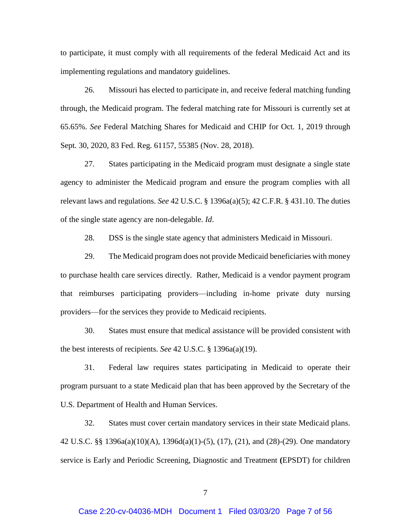to participate, it must comply with all requirements of the federal Medicaid Act and its implementing regulations and mandatory guidelines.

26. Missouri has elected to participate in, and receive federal matching funding through, the Medicaid program. The federal matching rate for Missouri is currently set at 65.65%. *See* Federal Matching Shares for Medicaid and CHIP for Oct. 1, 2019 through Sept. 30, 2020, 83 Fed. Reg. 61157, 55385 (Nov. 28, 2018).

27. States participating in the Medicaid program must designate a single state agency to administer the Medicaid program and ensure the program complies with all relevant laws and regulations. *See* 42 U.S.C. § 1396a(a)(5); 42 C.F.R. § 431.10. The duties of the single state agency are non-delegable. *Id*.

28. DSS is the single state agency that administers Medicaid in Missouri.

29. The Medicaid program does not provide Medicaid beneficiaries with money to purchase health care services directly. Rather, Medicaid is a vendor payment program that reimburses participating providers—including in-home private duty nursing providers—for the services they provide to Medicaid recipients.

30. States must ensure that medical assistance will be provided consistent with the best interests of recipients. *See* 42 U.S.C. § 1396a(a)(19).

31. Federal law requires states participating in Medicaid to operate their program pursuant to a state Medicaid plan that has been approved by the Secretary of the U.S. Department of Health and Human Services.

32. States must cover certain mandatory services in their state Medicaid plans. 42 U.S.C. §§ 1396a(a)(10)(A), 1396d(a)(1)-(5), (17), (21), and (28)-(29). One mandatory service is Early and Periodic Screening, Diagnostic and Treatment **(**EPSDT) for children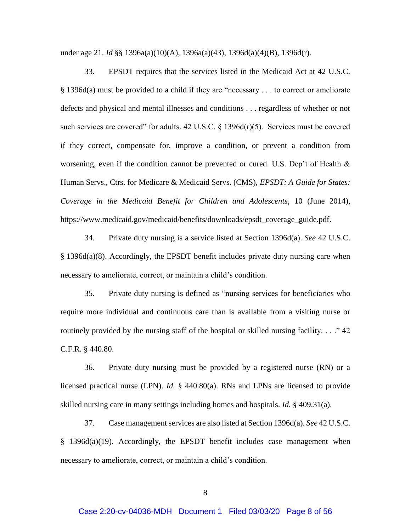under age 21. *Id* §§ 1396a(a)(10)(A), 1396a(a)(43), 1396d(a)(4)(B), 1396d(r).

33. EPSDT requires that the services listed in the Medicaid Act at 42 U.S.C. § 1396d(a) must be provided to a child if they are "necessary . . . to correct or ameliorate defects and physical and mental illnesses and conditions . . . regardless of whether or not such services are covered" for adults.  $42 \text{ U.S.C.}$  §  $1396d(r)(5)$ . Services must be covered if they correct, compensate for, improve a condition, or prevent a condition from worsening, even if the condition cannot be prevented or cured. U.S. Dep't of Health & Human Servs., Ctrs. for Medicare & Medicaid Servs. (CMS), *EPSDT: A Guide for States: Coverage in the Medicaid Benefit for Children and Adolescents*, 10 (June 2014), [https://www.medicaid.gov/medicaid/benefits/downloads/epsdt\\_coverage\\_guide.pdf.](https://www.medicaid.gov/medicaid/benefits/downloads/epsdt_coverage_guide.pdf)

34. Private duty nursing is a service listed at Section 1396d(a). *See* 42 U.S.C. § 1396d(a)(8). Accordingly, the EPSDT benefit includes private duty nursing care when necessary to ameliorate, correct, or maintain a child's condition.

35. Private duty nursing is defined as "nursing services for beneficiaries who require more individual and continuous care than is available from a visiting nurse or routinely provided by the nursing staff of the hospital or skilled nursing facility...."  $42$ C.F.R. § 440.80.

36. Private duty nursing must be provided by a registered nurse (RN) or a licensed practical nurse (LPN). *Id.* § 440.80(a). RNs and LPNs are licensed to provide skilled nursing care in many settings including homes and hospitals. *Id.* § 409.31(a).

37. Case management services are also listed at Section 1396d(a). *See* 42 U.S.C.  $§$  1396d(a)(19). Accordingly, the EPSDT benefit includes case management when necessary to ameliorate, correct, or maintain a child's condition.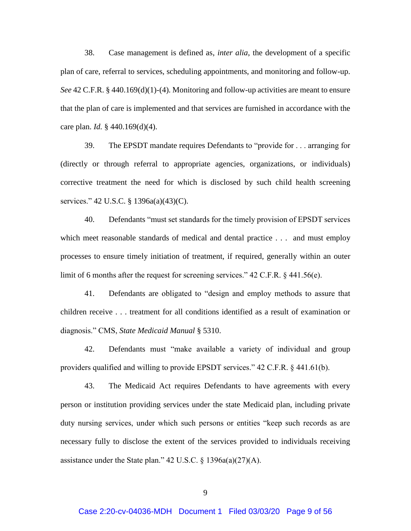38. Case management is defined as, *inter alia*, the development of a specific plan of care, referral to services, scheduling appointments, and monitoring and follow-up. *See* 42 C.F.R. § 440.169(d)(1)-(4). Monitoring and follow-up activities are meant to ensure that the plan of care is implemented and that services are furnished in accordance with the care plan. *Id.* § 440.169(d)(4).

39. The EPSDT mandate requires Defendants to "provide for . . . arranging for (directly or through referral to appropriate agencies, organizations, or individuals) corrective treatment the need for which is disclosed by such child health screening services." 42 U.S.C. § 1396a(a)(43)(C).

40. Defendants "must set standards for the timely provision of EPSDT services which meet reasonable standards of medical and dental practice . . . and must employ processes to ensure timely initiation of treatment, if required, generally within an outer limit of 6 months after the request for screening services." 42 C.F.R. § 441.56(e).

41. Defendants are obligated to "design and employ methods to assure that children receive . . . treatment for all conditions identified as a result of examination or diagnosis." CMS, *State Medicaid Manual* § 5310.

42. Defendants must "make available a variety of individual and group providers qualified and willing to provide EPSDT services." 42 C.F.R. § 441.61(b).

43. The Medicaid Act requires Defendants to have agreements with every person or institution providing services under the state Medicaid plan, including private duty nursing services, under which such persons or entities "keep such records as are necessary fully to disclose the extent of the services provided to individuals receiving assistance under the State plan." 42 U.S.C.  $\S$  1396a(a)(27)(A).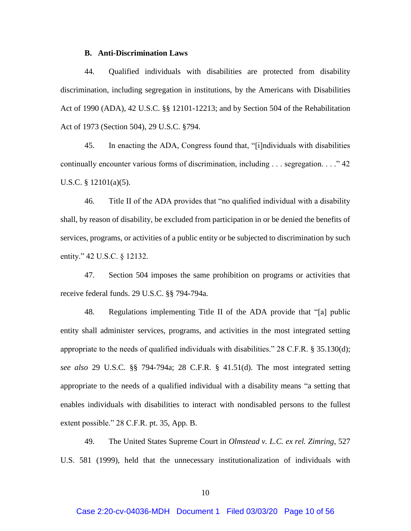### **B. Anti-Discrimination Laws**

44. Qualified individuals with disabilities are protected from disability discrimination, including segregation in institutions, by the Americans with Disabilities Act of 1990 (ADA), 42 U.S.C. §§ 12101-12213; and by Section 504 of the Rehabilitation Act of 1973 (Section 504), 29 U.S.C. §794.

45. In enacting the ADA, Congress found that, "[i]ndividuals with disabilities continually encounter various forms of discrimination, including . . . segregation. . . ." 42 U.S.C. § 12101(a)(5).

46. Title II of the ADA provides that "no qualified individual with a disability shall, by reason of disability, be excluded from participation in or be denied the benefits of services, programs, or activities of a public entity or be subjected to discrimination by such entity." 42 U.S.C. § 12132.

47. Section 504 imposes the same prohibition on programs or activities that receive federal funds. 29 U.S.C. §§ 794-794a.

48. Regulations implementing Title II of the ADA provide that "[a] public entity shall administer services, programs, and activities in the most integrated setting appropriate to the needs of qualified individuals with disabilities."  $28$  C.F.R. § 35.130(d); *see also* 29 U.S.C. §§ 794-794a; 28 C.F.R. § 41.51(d). The most integrated setting appropriate to the needs of a qualified individual with a disability means "a setting that enables individuals with disabilities to interact with nondisabled persons to the fullest extent possible." 28 C.F.R. pt. 35, App. B.

49. The United States Supreme Court in *Olmstead v. L.C. ex rel. Zimring*, 527 U.S. 581 (1999), held that the unnecessary institutionalization of individuals with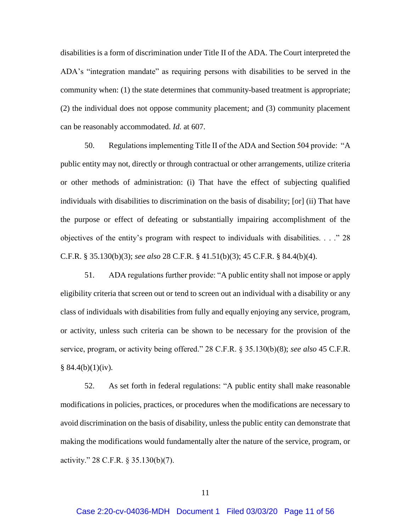disabilities is a form of discrimination under Title II of the ADA. The Court interpreted the ADA's "integration mandate" as requiring persons with disabilities to be served in the community when: (1) the state determines that community-based treatment is appropriate; (2) the individual does not oppose community placement; and (3) community placement can be reasonably accommodated. *Id.* at 607.

50. Regulations implementing Title II of the ADA and Section 504 provide: "A public entity may not, directly or through contractual or other arrangements, utilize criteria or other methods of administration: (i) That have the effect of subjecting qualified individuals with disabilities to discrimination on the basis of disability; [or] (ii) That have the purpose or effect of defeating or substantially impairing accomplishment of the objectives of the entity's program with respect to individuals with disabilities. . . ." 28 C.F.R. § 35.130(b)(3); *see also* 28 C.F.R. § 41.51(b)(3); 45 C.F.R. § 84.4(b)(4).

51. ADA regulations further provide: "A public entity shall not impose or apply eligibility criteria that screen out or tend to screen out an individual with a disability or any class of individuals with disabilities from fully and equally enjoying any service, program, or activity, unless such criteria can be shown to be necessary for the provision of the service, program, or activity being offered." 28 C.F.R. § 35.130(b)(8); *see also* 45 C.F.R.  $§ 84.4(b)(1)(iv).$ 

52. As set forth in federal regulations: "A public entity shall make reasonable modifications in policies, practices, or procedures when the modifications are necessary to avoid discrimination on the basis of disability, unless the public entity can demonstrate that making the modifications would fundamentally alter the nature of the service, program, or activity." 28 C.F.R. § 35.130(b)(7).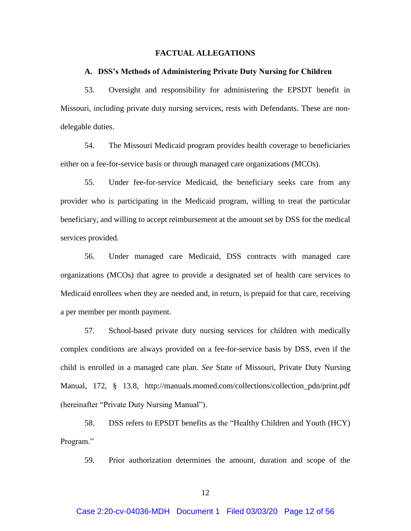### **FACTUAL ALLEGATIONS**

### **A. DSS's Methods of Administering Private Duty Nursing for Children**

53. Oversight and responsibility for administering the EPSDT benefit in Missouri, including private duty nursing services, rests with Defendants. These are nondelegable duties.

54. The Missouri Medicaid program provides health coverage to beneficiaries either on a fee-for-service basis or through managed care organizations (MCOs).

55. Under fee-for-service Medicaid, the beneficiary seeks care from any provider who is participating in the Medicaid program, willing to treat the particular beneficiary, and willing to accept reimbursement at the amount set by DSS for the medical services provided.

56. Under managed care Medicaid, DSS contracts with managed care organizations (MCOs) that agree to provide a designated set of health care services to Medicaid enrollees when they are needed and, in return, is prepaid for that care, receiving a per member per month payment.

57. School-based private duty nursing services for children with medically complex conditions are always provided on a fee-for-service basis by DSS, even if the child is enrolled in a managed care plan. *See* State of Missouri, Private Duty Nursing Manual, 172, § 13.8, [http://manuals.momed.com/collections/collection\\_pdn/print.pdf](manuals.momed.com/collections/collection_pdn/print.pdf) (hereinafter "Private Duty Nursing Manual").

58. DSS refers to EPSDT benefits as the "Healthy Children and Youth (HCY) Program."

59. Prior authorization determines the amount, duration and scope of the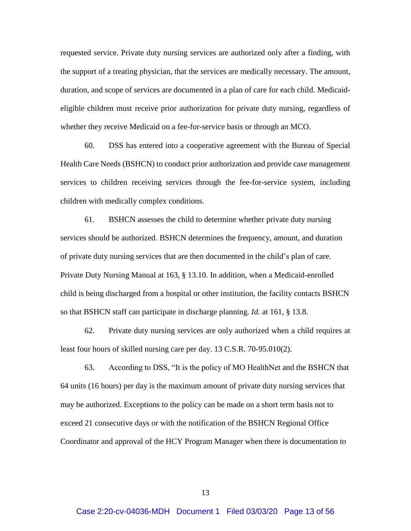requested service. Private duty nursing services are authorized only after a finding, with the support of a treating physician, that the services are medically necessary. The amount, duration, and scope of services are documented in a plan of care for each child. Medicaideligible children must receive prior authorization for private duty nursing, regardless of whether they receive Medicaid on a fee-for-service basis or through an MCO.

60. DSS has entered into a cooperative agreement with the Bureau of Special Health Care Needs (BSHCN) to conduct prior authorization and provide case management services to children receiving services through the fee-for-service system, including children with medically complex conditions.

61. BSHCN assesses the child to determine whether private duty nursing services should be authorized. BSHCN determines the frequency, amount, and duration of private duty nursing services that are then documented in the child's plan of care. Private Duty Nursing Manual at 163, § 13.10. In addition, when a Medicaid-enrolled child is being discharged from a hospital or other institution, the facility contacts BSHCN so that BSHCN staff can participate in discharge planning. *Id.* at 161, § 13.8.

62. Private duty nursing services are only authorized when a child requires at least four hours of skilled nursing care per day. 13 C.S.R. 70-95.010(2).

63. According to DSS, "It is the policy of MO HealthNet and the BSHCN that 64 units (16 hours) per day is the maximum amount of private duty nursing services that may be authorized. Exceptions to the policy can be made on a short term basis not to exceed 21 consecutive days or with the notification of the BSHCN Regional Office Coordinator and approval of the HCY Program Manager when there is documentation to

13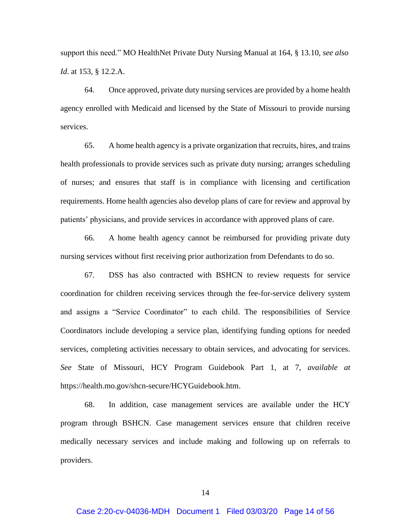support this need." MO HealthNet Private Duty Nursing Manual at 164, § 13.10, *see also Id*. at 153, § 12.2.A.

64. Once approved, private duty nursing services are provided by a home health agency enrolled with Medicaid and licensed by the State of Missouri to provide nursing services.

65. A home health agency is a private organization that recruits, hires, and trains health professionals to provide services such as private duty nursing; arranges scheduling of nurses; and ensures that staff is in compliance with licensing and certification requirements. Home health agencies also develop plans of care for review and approval by patients' physicians, and provide services in accordance with approved plans of care.

66. A home health agency cannot be reimbursed for providing private duty nursing services without first receiving prior authorization from Defendants to do so.

67. DSS has also contracted with BSHCN to review requests for service coordination for children receiving services through the fee-for-service delivery system and assigns a "Service Coordinator" to each child. The responsibilities of Service Coordinators include developing a service plan, identifying funding options for needed services, completing activities necessary to obtain services, and advocating for services. *See* State of Missouri, HCY Program Guidebook Part 1, at 7, *available at* https://health.mo.gov/shcn-secure/HCYGuidebook.htm.

68. In addition, case management services are available under the HCY program through BSHCN. Case management services ensure that children receive medically necessary services and include making and following up on referrals to providers.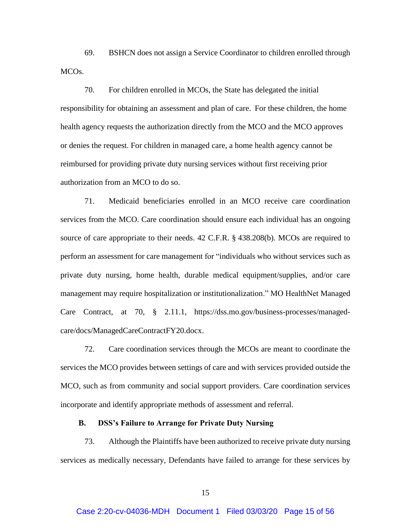69. BSHCN does not assign a Service Coordinator to children enrolled through MCOs.

70. For children enrolled in MCOs, the State has delegated the initial responsibility for obtaining an assessment and plan of care. For these children, the home health agency requests the authorization directly from the MCO and the MCO approves or denies the request. For children in managed care, a home health agency cannot be reimbursed for providing private duty nursing services without first receiving prior authorization from an MCO to do so.

71. Medicaid beneficiaries enrolled in an MCO receive care coordination services from the MCO. Care coordination should ensure each individual has an ongoing source of care appropriate to their needs. 42 C.F.R. § 438.208(b). MCOs are required to perform an assessment for care management for "individuals who without services such as private duty nursing, home health, durable medical equipment/supplies, and/or care management may require hospitalization or institutionalization." MO HealthNet Managed Care Contract, at 70, § 2.11.1, https://dss.mo.gov/business-processes/managedcare/docs/ManagedCareContractFY20.docx.

72. Care coordination services through the MCOs are meant to coordinate the services the MCO provides between settings of care and with services provided outside the MCO, such as from community and social support providers. Care coordination services incorporate and identify appropriate methods of assessment and referral.

### **B. DSS's Failure to Arrange for Private Duty Nursing**

73. Although the Plaintiffs have been authorized to receive private duty nursing services as medically necessary, Defendants have failed to arrange for these services by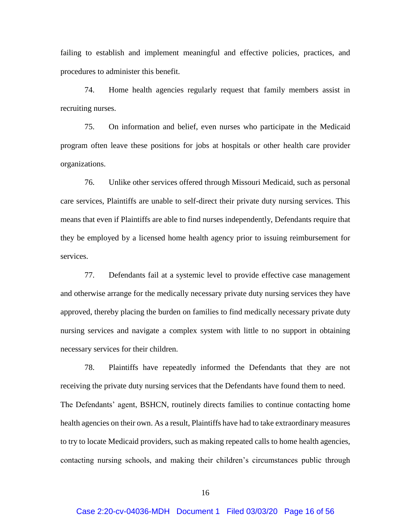failing to establish and implement meaningful and effective policies, practices, and procedures to administer this benefit.

74. Home health agencies regularly request that family members assist in recruiting nurses.

75. On information and belief, even nurses who participate in the Medicaid program often leave these positions for jobs at hospitals or other health care provider organizations.

76. Unlike other services offered through Missouri Medicaid, such as personal care services, Plaintiffs are unable to self-direct their private duty nursing services. This means that even if Plaintiffs are able to find nurses independently, Defendants require that they be employed by a licensed home health agency prior to issuing reimbursement for services.

77. Defendants fail at a systemic level to provide effective case management and otherwise arrange for the medically necessary private duty nursing services they have approved, thereby placing the burden on families to find medically necessary private duty nursing services and navigate a complex system with little to no support in obtaining necessary services for their children.

78. Plaintiffs have repeatedly informed the Defendants that they are not receiving the private duty nursing services that the Defendants have found them to need. The Defendants' agent, BSHCN, routinely directs families to continue contacting home health agencies on their own. As a result, Plaintiffs have had to take extraordinary measures to try to locate Medicaid providers, such as making repeated calls to home health agencies, contacting nursing schools, and making their children's circumstances public through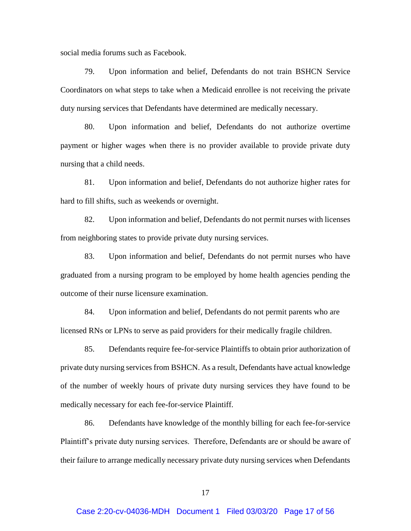social media forums such as Facebook.

79. Upon information and belief, Defendants do not train BSHCN Service Coordinators on what steps to take when a Medicaid enrollee is not receiving the private duty nursing services that Defendants have determined are medically necessary.

80. Upon information and belief, Defendants do not authorize overtime payment or higher wages when there is no provider available to provide private duty nursing that a child needs.

81. Upon information and belief, Defendants do not authorize higher rates for hard to fill shifts, such as weekends or overnight.

82. Upon information and belief, Defendants do not permit nurses with licenses from neighboring states to provide private duty nursing services.

83. Upon information and belief, Defendants do not permit nurses who have graduated from a nursing program to be employed by home health agencies pending the outcome of their nurse licensure examination.

84. Upon information and belief, Defendants do not permit parents who are licensed RNs or LPNs to serve as paid providers for their medically fragile children.

85. Defendants require fee-for-service Plaintiffs to obtain prior authorization of private duty nursing services from BSHCN. As a result, Defendants have actual knowledge of the number of weekly hours of private duty nursing services they have found to be medically necessary for each fee-for-service Plaintiff.

86. Defendants have knowledge of the monthly billing for each fee-for-service Plaintiff's private duty nursing services. Therefore, Defendants are or should be aware of their failure to arrange medically necessary private duty nursing services when Defendants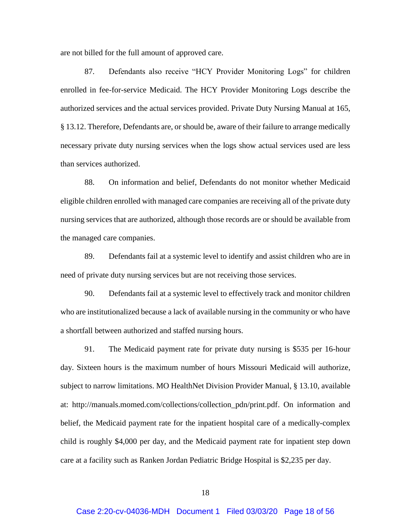are not billed for the full amount of approved care.

87. Defendants also receive "HCY Provider Monitoring Logs" for children enrolled in fee-for-service Medicaid. The HCY Provider Monitoring Logs describe the authorized services and the actual services provided. Private Duty Nursing Manual at 165, § 13.12. Therefore, Defendants are, or should be, aware of their failure to arrange medically necessary private duty nursing services when the logs show actual services used are less than services authorized.

88. On information and belief, Defendants do not monitor whether Medicaid eligible children enrolled with managed care companies are receiving all of the private duty nursing services that are authorized, although those records are or should be available from the managed care companies.

89. Defendants fail at a systemic level to identify and assist children who are in need of private duty nursing services but are not receiving those services.

90. Defendants fail at a systemic level to effectively track and monitor children who are institutionalized because a lack of available nursing in the community or who have a shortfall between authorized and staffed nursing hours.

91. The Medicaid payment rate for private duty nursing is \$535 per 16-hour day. Sixteen hours is the maximum number of hours Missouri Medicaid will authorize, subject to narrow limitations. MO HealthNet Division Provider Manual, § 13.10, available at: http://manuals.momed.com/collections/collection\_pdn/print.pdf. On information and belief, the Medicaid payment rate for the inpatient hospital care of a medically-complex child is roughly \$4,000 per day, and the Medicaid payment rate for inpatient step down care at a facility such as Ranken Jordan Pediatric Bridge Hospital is \$2,235 per day.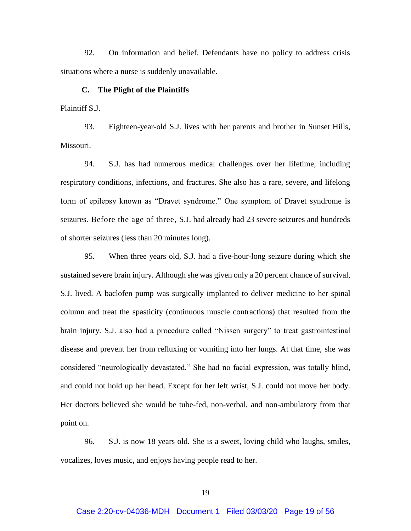92. On information and belief, Defendants have no policy to address crisis situations where a nurse is suddenly unavailable.

#### **C. The Plight of the Plaintiffs**

### Plaintiff S.J.

93. Eighteen-year-old S.J. lives with her parents and brother in Sunset Hills, Missouri.

94. S.J. has had numerous medical challenges over her lifetime, including respiratory conditions, infections, and fractures. She also has a rare, severe, and lifelong form of epilepsy known as "Dravet syndrome." One symptom of Dravet syndrome is seizures. Before the age of three, S.J. had already had 23 severe seizures and hundreds of shorter seizures (less than 20 minutes long).

95. When three years old, S.J. had a five-hour-long seizure during which she sustained severe brain injury. Although she was given only a 20 percent chance of survival, S.J. lived. A baclofen pump was surgically implanted to deliver medicine to her spinal column and treat the spasticity (continuous muscle contractions) that resulted from the brain injury. S.J. also had a procedure called "Nissen surgery" to treat gastrointestinal disease and prevent her from refluxing or vomiting into her lungs. At that time, she was considered "neurologically devastated." She had no facial expression, was totally blind, and could not hold up her head. Except for her left wrist, S.J. could not move her body. Her doctors believed she would be tube-fed, non-verbal, and non-ambulatory from that point on.

96. S.J. is now 18 years old. She is a sweet, loving child who laughs, smiles, vocalizes, loves music, and enjoys having people read to her.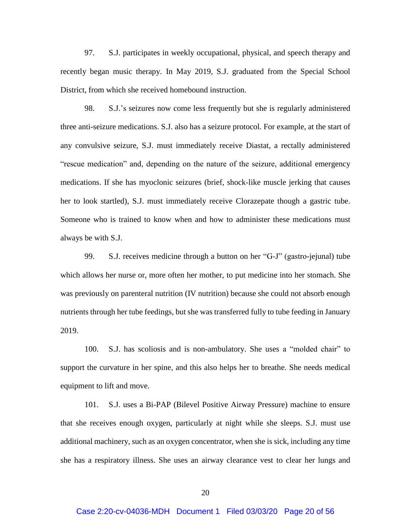97. S.J. participates in weekly occupational, physical, and speech therapy and recently began music therapy. In May 2019, S.J. graduated from the Special School District, from which she received homebound instruction.

98. S.J.'s seizures now come less frequently but she is regularly administered three anti-seizure medications. S.J. also has a seizure protocol. For example, at the start of any convulsive seizure, S.J. must immediately receive Diastat, a rectally administered "rescue medication" and, depending on the nature of the seizure, additional emergency medications. If she has myoclonic seizures (brief, shock-like muscle jerking that causes her to look startled), S.J. must immediately receive Clorazepate though a gastric tube. Someone who is trained to know when and how to administer these medications must always be with S.J.

99. S.J. receives medicine through a button on her "G-J" (gastro-jejunal) tube which allows her nurse or, more often her mother, to put medicine into her stomach. She was previously on parenteral nutrition (IV nutrition) because she could not absorb enough nutrients through her tube feedings, but she was transferred fully to tube feeding in January 2019.

100. S.J. has scoliosis and is non-ambulatory. She uses a "molded chair" to support the curvature in her spine, and this also helps her to breathe. She needs medical equipment to lift and move.

101. S.J. uses a Bi-PAP (Bilevel Positive Airway Pressure) machine to ensure that she receives enough oxygen, particularly at night while she sleeps. S.J. must use additional machinery, such as an oxygen concentrator, when she is sick, including any time she has a respiratory illness. She uses an airway clearance vest to clear her lungs and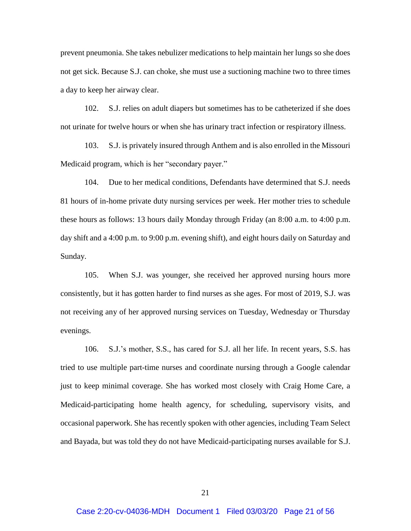prevent pneumonia. She takes nebulizer medications to help maintain her lungs so she does not get sick. Because S.J. can choke, she must use a suctioning machine two to three times a day to keep her airway clear.

102. S.J. relies on adult diapers but sometimes has to be catheterized if she does not urinate for twelve hours or when she has urinary tract infection or respiratory illness.

103. S.J. is privately insured through Anthem and is also enrolled in the Missouri Medicaid program, which is her "secondary payer."

104. Due to her medical conditions, Defendants have determined that S.J. needs 81 hours of in-home private duty nursing services per week. Her mother tries to schedule these hours as follows: 13 hours daily Monday through Friday (an 8:00 a.m. to 4:00 p.m. day shift and a 4:00 p.m. to 9:00 p.m. evening shift), and eight hours daily on Saturday and Sunday.

105. When S.J. was younger, she received her approved nursing hours more consistently, but it has gotten harder to find nurses as she ages. For most of 2019, S.J. was not receiving any of her approved nursing services on Tuesday, Wednesday or Thursday evenings.

106. S.J.'s mother, S.S., has cared for S.J. all her life. In recent years, S.S. has tried to use multiple part-time nurses and coordinate nursing through a Google calendar just to keep minimal coverage. She has worked most closely with Craig Home Care, a Medicaid-participating home health agency, for scheduling, supervisory visits, and occasional paperwork. She has recently spoken with other agencies, including Team Select and Bayada, but was told they do not have Medicaid-participating nurses available for S.J.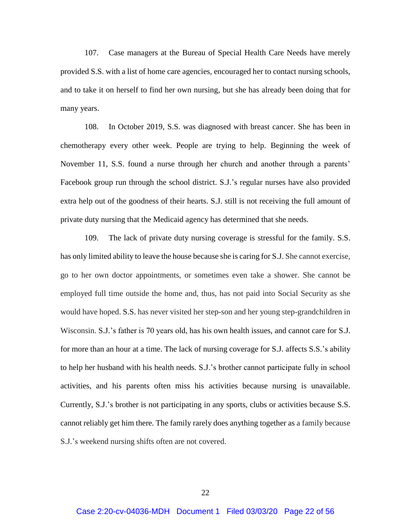107. Case managers at the Bureau of Special Health Care Needs have merely provided S.S. with a list of home care agencies, encouraged her to contact nursing schools, and to take it on herself to find her own nursing, but she has already been doing that for many years.

108. In October 2019, S.S. was diagnosed with breast cancer. She has been in chemotherapy every other week. People are trying to help. Beginning the week of November 11, S.S. found a nurse through her church and another through a parents' Facebook group run through the school district. S.J.'s regular nurses have also provided extra help out of the goodness of their hearts. S.J. still is not receiving the full amount of private duty nursing that the Medicaid agency has determined that she needs.

109. The lack of private duty nursing coverage is stressful for the family. S.S. has only limited ability to leave the house because she is caring for S.J. She cannot exercise, go to her own doctor appointments, or sometimes even take a shower. She cannot be employed full time outside the home and, thus, has not paid into Social Security as she would have hoped. S.S. has never visited her step-son and her young step-grandchildren in Wisconsin. S.J.'s father is 70 years old, has his own health issues, and cannot care for S.J. for more than an hour at a time. The lack of nursing coverage for S.J. affects S.S.'s ability to help her husband with his health needs. S.J.'s brother cannot participate fully in school activities, and his parents often miss his activities because nursing is unavailable. Currently, S.J.'s brother is not participating in any sports, clubs or activities because S.S. cannot reliably get him there. The family rarely does anything together as a family because S.J.'s weekend nursing shifts often are not covered.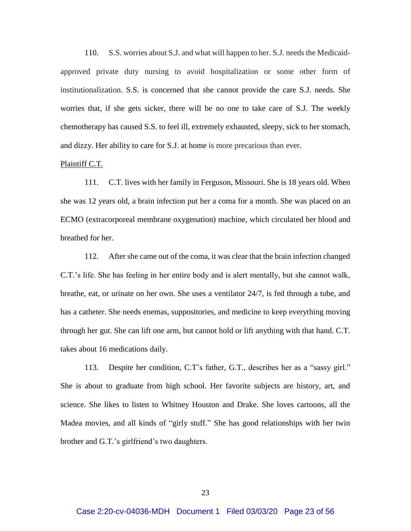110. S.S. worries about S.J. and what will happen to her. S.J. needs the Medicaidapproved private duty nursing to avoid hospitalization or some other form of institutionalization. S.S. is concerned that she cannot provide the care S.J. needs. She worries that, if she gets sicker, there will be no one to take care of S.J. The weekly chemotherapy has caused S.S. to feel ill, extremely exhausted, sleepy, sick to her stomach, and dizzy. Her ability to care for S.J. at home is more precarious than ever.

### Plaintiff C.T.

111. C.T. lives with her family in Ferguson, Missouri. She is 18 years old. When she was 12 years old, a brain infection put her a coma for a month. She was placed on an ECMO (extracorporeal membrane oxygenation) machine, which circulated her blood and breathed for her.

112. After she came out of the coma, it was clear that the brain infection changed C.T.'s life. She has feeling in her entire body and is alert mentally, but she cannot walk, breathe, eat, or urinate on her own. She uses a ventilator 24/7, is fed through a tube, and has a catheter. She needs enemas, suppositories, and medicine to keep everything moving through her gut. She can lift one arm, but cannot hold or lift anything with that hand. C.T. takes about 16 medications daily.

113. Despite her condition, C.T's father, G.T., describes her as a "sassy girl." She is about to graduate from high school. Her favorite subjects are history, art, and science. She likes to listen to Whitney Houston and Drake. She loves cartoons, all the Madea movies, and all kinds of "girly stuff." She has good relationships with her twin brother and G.T.'s girlfriend's two daughters.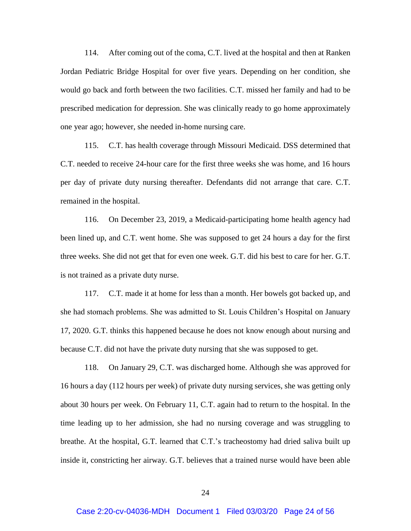114. After coming out of the coma, C.T. lived at the hospital and then at Ranken Jordan Pediatric Bridge Hospital for over five years. Depending on her condition, she would go back and forth between the two facilities. C.T. missed her family and had to be prescribed medication for depression. She was clinically ready to go home approximately one year ago; however, she needed in-home nursing care.

115. C.T. has health coverage through Missouri Medicaid. DSS determined that C.T. needed to receive 24-hour care for the first three weeks she was home, and 16 hours per day of private duty nursing thereafter. Defendants did not arrange that care. C.T. remained in the hospital.

116. On December 23, 2019, a Medicaid-participating home health agency had been lined up, and C.T. went home. She was supposed to get 24 hours a day for the first three weeks. She did not get that for even one week. G.T. did his best to care for her. G.T. is not trained as a private duty nurse.

117. C.T. made it at home for less than a month. Her bowels got backed up, and she had stomach problems. She was admitted to St. Louis Children's Hospital on January 17, 2020. G.T. thinks this happened because he does not know enough about nursing and because C.T. did not have the private duty nursing that she was supposed to get.

118. On January 29, C.T. was discharged home. Although she was approved for 16 hours a day (112 hours per week) of private duty nursing services, she was getting only about 30 hours per week. On February 11, C.T. again had to return to the hospital. In the time leading up to her admission, she had no nursing coverage and was struggling to breathe. At the hospital, G.T. learned that C.T.'s tracheostomy had dried saliva built up inside it, constricting her airway. G.T. believes that a trained nurse would have been able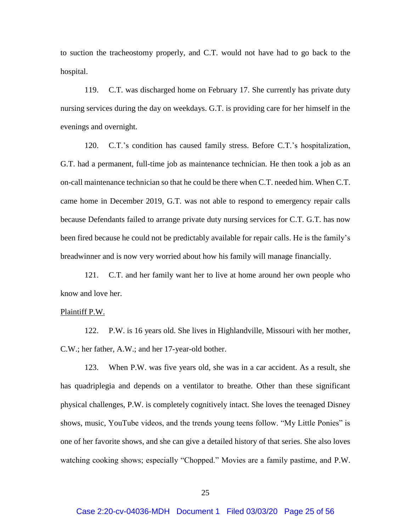to suction the tracheostomy properly, and C.T. would not have had to go back to the hospital.

119. C.T. was discharged home on February 17. She currently has private duty nursing services during the day on weekdays. G.T. is providing care for her himself in the evenings and overnight.

120. C.T.'s condition has caused family stress. Before C.T.'s hospitalization, G.T. had a permanent, full-time job as maintenance technician. He then took a job as an on-call maintenance technician so that he could be there when C.T. needed him. When C.T. came home in December 2019, G.T. was not able to respond to emergency repair calls because Defendants failed to arrange private duty nursing services for C.T. G.T. has now been fired because he could not be predictably available for repair calls. He is the family's breadwinner and is now very worried about how his family will manage financially.

121. C.T. and her family want her to live at home around her own people who know and love her.

# Plaintiff P.W.

122. P.W. is 16 years old. She lives in Highlandville, Missouri with her mother, C.W.; her father, A.W.; and her 17-year-old bother.

123. When P.W. was five years old, she was in a car accident. As a result, she has quadriplegia and depends on a ventilator to breathe. Other than these significant physical challenges, P.W. is completely cognitively intact. She loves the teenaged Disney shows, music, YouTube videos, and the trends young teens follow. "My Little Ponies" is one of her favorite shows, and she can give a detailed history of that series. She also loves watching cooking shows; especially "Chopped." Movies are a family pastime, and P.W.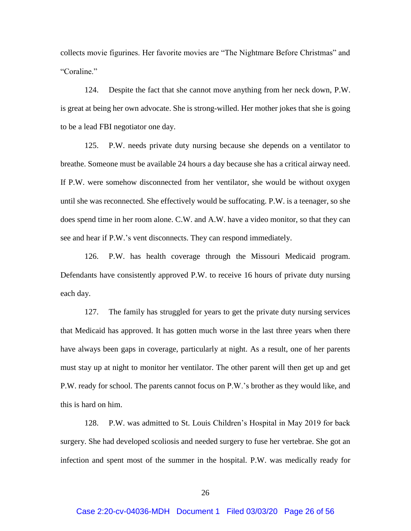collects movie figurines. Her favorite movies are "The Nightmare Before Christmas" and "Coraline."

124. Despite the fact that she cannot move anything from her neck down, P.W. is great at being her own advocate. She is strong-willed. Her mother jokes that she is going to be a lead FBI negotiator one day.

125. P.W. needs private duty nursing because she depends on a ventilator to breathe. Someone must be available 24 hours a day because she has a critical airway need. If P.W. were somehow disconnected from her ventilator, she would be without oxygen until she was reconnected. She effectively would be suffocating. P.W. is a teenager, so she does spend time in her room alone. C.W. and A.W. have a video monitor, so that they can see and hear if P.W.'s vent disconnects. They can respond immediately.

126. P.W. has health coverage through the Missouri Medicaid program. Defendants have consistently approved P.W. to receive 16 hours of private duty nursing each day.

127. The family has struggled for years to get the private duty nursing services that Medicaid has approved. It has gotten much worse in the last three years when there have always been gaps in coverage, particularly at night. As a result, one of her parents must stay up at night to monitor her ventilator. The other parent will then get up and get P.W. ready for school. The parents cannot focus on P.W.'s brother as they would like, and this is hard on him.

128. P.W. was admitted to St. Louis Children's Hospital in May 2019 for back surgery. She had developed scoliosis and needed surgery to fuse her vertebrae. She got an infection and spent most of the summer in the hospital. P.W. was medically ready for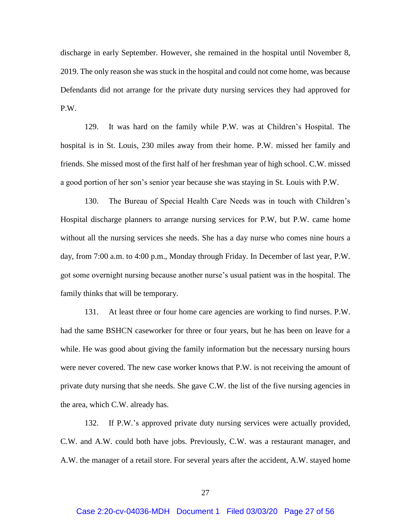discharge in early September. However, she remained in the hospital until November 8, 2019. The only reason she was stuck in the hospital and could not come home, was because Defendants did not arrange for the private duty nursing services they had approved for P.W.

129. It was hard on the family while P.W. was at Children's Hospital. The hospital is in St. Louis, 230 miles away from their home. P.W. missed her family and friends. She missed most of the first half of her freshman year of high school. C.W. missed a good portion of her son's senior year because she was staying in St. Louis with P.W.

130. The Bureau of Special Health Care Needs was in touch with Children's Hospital discharge planners to arrange nursing services for P.W, but P.W. came home without all the nursing services she needs. She has a day nurse who comes nine hours a day, from 7:00 a.m. to 4:00 p.m., Monday through Friday. In December of last year, P.W. got some overnight nursing because another nurse's usual patient was in the hospital. The family thinks that will be temporary.

131. At least three or four home care agencies are working to find nurses. P.W. had the same BSHCN caseworker for three or four years, but he has been on leave for a while. He was good about giving the family information but the necessary nursing hours were never covered. The new case worker knows that P.W. is not receiving the amount of private duty nursing that she needs. She gave C.W. the list of the five nursing agencies in the area, which C.W. already has.

132. If P.W.'s approved private duty nursing services were actually provided, C.W. and A.W. could both have jobs. Previously, C.W. was a restaurant manager, and A.W. the manager of a retail store. For several years after the accident, A.W. stayed home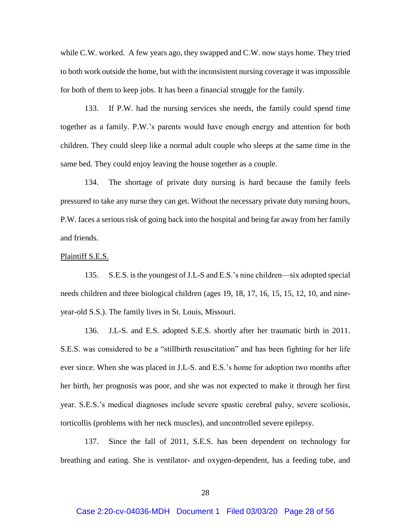while C.W. worked. A few years ago, they swapped and C.W. now stays home. They tried to both work outside the home, but with the inconsistent nursing coverage it was impossible for both of them to keep jobs. It has been a financial struggle for the family.

133. If P.W. had the nursing services she needs, the family could spend time together as a family. P.W.'s parents would have enough energy and attention for both children. They could sleep like a normal adult couple who sleeps at the same time in the same bed. They could enjoy leaving the house together as a couple.

134. The shortage of private duty nursing is hard because the family feels pressured to take any nurse they can get. Without the necessary private duty nursing hours, P.W. faces a serious risk of going back into the hospital and being far away from her family and friends.

#### Plaintiff S.E.S.

135. S.E.S. is the youngest of J.L-S and E.S.'s nine children—six adopted special needs children and three biological children (ages 19, 18, 17, 16, 15, 15, 12, 10, and nineyear-old S.S.). The family lives in St. Louis, Missouri.

136. J.L-S. and E.S. adopted S.E.S. shortly after her traumatic birth in 2011. S.E.S. was considered to be a "stillbirth resuscitation" and has been fighting for her life ever since. When she was placed in J.L-S. and E.S.'s home for adoption two months after her birth, her prognosis was poor, and she was not expected to make it through her first year. S.E.S.'s medical diagnoses include severe spastic cerebral palsy, severe scoliosis, torticollis (problems with her neck muscles), and uncontrolled severe epilepsy.

137. Since the fall of 2011, S.E.S. has been dependent on technology for breathing and eating. She is ventilator- and oxygen-dependent, has a feeding tube, and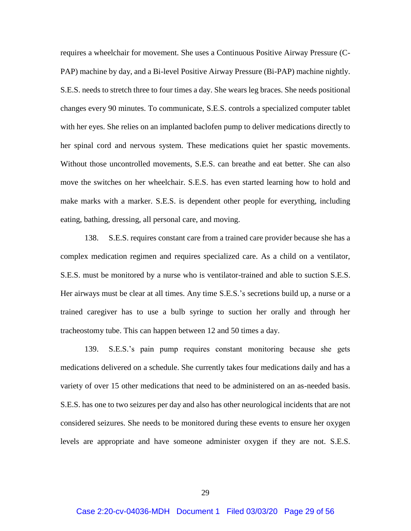requires a wheelchair for movement. She uses a Continuous Positive Airway Pressure (C-PAP) machine by day, and a Bi-level Positive Airway Pressure (Bi-PAP) machine nightly. S.E.S. needs to stretch three to four times a day. She wears leg braces. She needs positional changes every 90 minutes. To communicate, S.E.S. controls a specialized computer tablet with her eyes. She relies on an implanted baclofen pump to deliver medications directly to her spinal cord and nervous system. These medications quiet her spastic movements. Without those uncontrolled movements, S.E.S. can breathe and eat better. She can also move the switches on her wheelchair. S.E.S. has even started learning how to hold and make marks with a marker. S.E.S. is dependent other people for everything, including eating, bathing, dressing, all personal care, and moving.

138. S.E.S. requires constant care from a trained care provider because she has a complex medication regimen and requires specialized care. As a child on a ventilator, S.E.S. must be monitored by a nurse who is ventilator-trained and able to suction S.E.S. Her airways must be clear at all times. Any time S.E.S.'s secretions build up, a nurse or a trained caregiver has to use a bulb syringe to suction her orally and through her tracheostomy tube. This can happen between 12 and 50 times a day.

139. S.E.S.'s pain pump requires constant monitoring because she gets medications delivered on a schedule. She currently takes four medications daily and has a variety of over 15 other medications that need to be administered on an as-needed basis. S.E.S. has one to two seizures per day and also has other neurological incidents that are not considered seizures. She needs to be monitored during these events to ensure her oxygen levels are appropriate and have someone administer oxygen if they are not. S.E.S.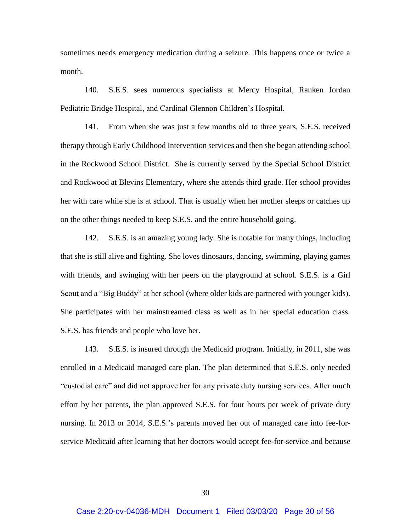sometimes needs emergency medication during a seizure. This happens once or twice a month.

140. S.E.S. sees numerous specialists at Mercy Hospital, Ranken Jordan Pediatric Bridge Hospital, and Cardinal Glennon Children's Hospital.

141. From when she was just a few months old to three years, S.E.S. received therapy through Early Childhood Intervention services and then she began attending school in the Rockwood School District. She is currently served by the Special School District and Rockwood at Blevins Elementary, where she attends third grade. Her school provides her with care while she is at school. That is usually when her mother sleeps or catches up on the other things needed to keep S.E.S. and the entire household going.

142. S.E.S. is an amazing young lady. She is notable for many things, including that she is still alive and fighting. She loves dinosaurs, dancing, swimming, playing games with friends, and swinging with her peers on the playground at school. S.E.S. is a Girl Scout and a "Big Buddy" at her school (where older kids are partnered with younger kids). She participates with her mainstreamed class as well as in her special education class. S.E.S. has friends and people who love her.

143. S.E.S. is insured through the Medicaid program. Initially, in 2011, she was enrolled in a Medicaid managed care plan. The plan determined that S.E.S. only needed "custodial care" and did not approve her for any private duty nursing services. After much effort by her parents, the plan approved S.E.S. for four hours per week of private duty nursing. In 2013 or 2014, S.E.S.'s parents moved her out of managed care into fee-forservice Medicaid after learning that her doctors would accept fee-for-service and because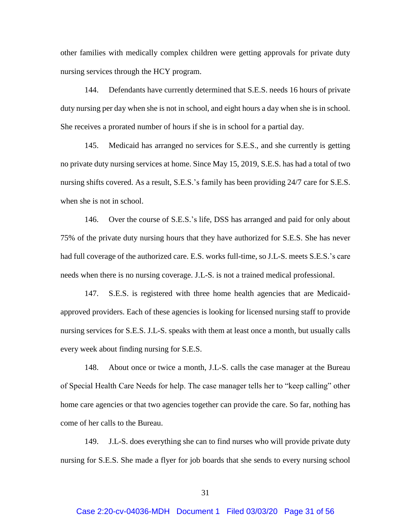other families with medically complex children were getting approvals for private duty nursing services through the HCY program.

144. Defendants have currently determined that S.E.S. needs 16 hours of private duty nursing per day when she is not in school, and eight hours a day when she is in school. She receives a prorated number of hours if she is in school for a partial day.

145. Medicaid has arranged no services for S.E.S., and she currently is getting no private duty nursing services at home. Since May 15, 2019, S.E.S. has had a total of two nursing shifts covered. As a result, S.E.S.'s family has been providing 24/7 care for S.E.S. when she is not in school.

146. Over the course of S.E.S.'s life, DSS has arranged and paid for only about 75% of the private duty nursing hours that they have authorized for S.E.S. She has never had full coverage of the authorized care. E.S. works full-time, so J.L-S. meets S.E.S.'s care needs when there is no nursing coverage. J.L-S. is not a trained medical professional.

147. S.E.S. is registered with three home health agencies that are Medicaidapproved providers. Each of these agencies is looking for licensed nursing staff to provide nursing services for S.E.S. J.L-S. speaks with them at least once a month, but usually calls every week about finding nursing for S.E.S.

148. About once or twice a month, J.L-S. calls the case manager at the Bureau of Special Health Care Needs for help. The case manager tells her to "keep calling" other home care agencies or that two agencies together can provide the care. So far, nothing has come of her calls to the Bureau.

149. J.L-S. does everything she can to find nurses who will provide private duty nursing for S.E.S. She made a flyer for job boards that she sends to every nursing school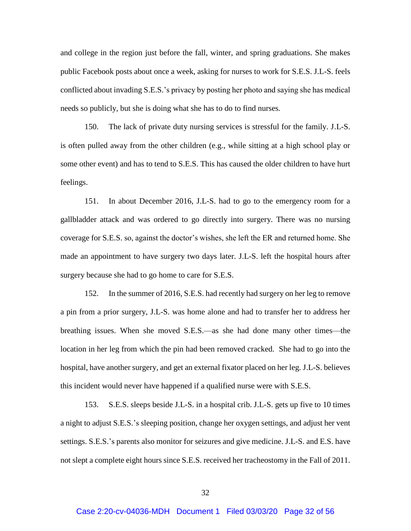and college in the region just before the fall, winter, and spring graduations. She makes public Facebook posts about once a week, asking for nurses to work for S.E.S. J.L-S. feels conflicted about invading S.E.S.'s privacy by posting her photo and saying she has medical needs so publicly, but she is doing what she has to do to find nurses.

150. The lack of private duty nursing services is stressful for the family. J.L-S. is often pulled away from the other children (e.g., while sitting at a high school play or some other event) and has to tend to S.E.S. This has caused the older children to have hurt feelings.

151. In about December 2016, J.L-S. had to go to the emergency room for a gallbladder attack and was ordered to go directly into surgery. There was no nursing coverage for S.E.S. so, against the doctor's wishes, she left the ER and returned home. She made an appointment to have surgery two days later. J.L-S. left the hospital hours after surgery because she had to go home to care for S.E.S.

152. In the summer of 2016, S.E.S. had recently had surgery on her leg to remove a pin from a prior surgery, J.L-S. was home alone and had to transfer her to address her breathing issues. When she moved S.E.S.—as she had done many other times—the location in her leg from which the pin had been removed cracked. She had to go into the hospital, have another surgery, and get an external fixator placed on her leg. J.L-S. believes this incident would never have happened if a qualified nurse were with S.E.S.

153. S.E.S. sleeps beside J.L-S. in a hospital crib. J.L-S. gets up five to 10 times a night to adjust S.E.S.'s sleeping position, change her oxygen settings, and adjust her vent settings. S.E.S.'s parents also monitor for seizures and give medicine. J.L-S. and E.S. have not slept a complete eight hours since S.E.S. received her tracheostomy in the Fall of 2011.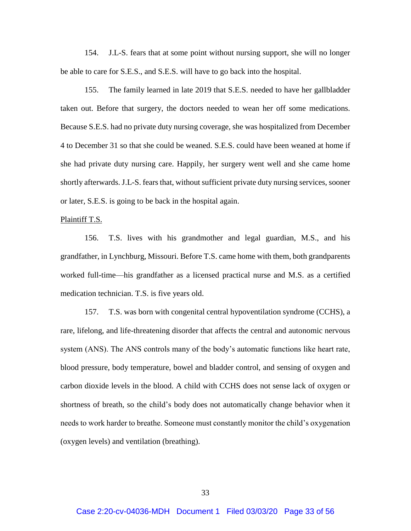154. J.L-S. fears that at some point without nursing support, she will no longer be able to care for S.E.S., and S.E.S. will have to go back into the hospital.

155. The family learned in late 2019 that S.E.S. needed to have her gallbladder taken out. Before that surgery, the doctors needed to wean her off some medications. Because S.E.S. had no private duty nursing coverage, she was hospitalized from December 4 to December 31 so that she could be weaned. S.E.S. could have been weaned at home if she had private duty nursing care. Happily, her surgery went well and she came home shortly afterwards. J.L-S. fears that, without sufficient private duty nursing services, sooner or later, S.E.S. is going to be back in the hospital again.

#### Plaintiff T.S.

156. T.S. lives with his grandmother and legal guardian, M.S., and his grandfather, in Lynchburg, Missouri. Before T.S. came home with them, both grandparents worked full-time—his grandfather as a licensed practical nurse and M.S. as a certified medication technician. T.S. is five years old.

157. T.S. was born with congenital central hypoventilation syndrome (CCHS), a rare, lifelong, and life-threatening disorder that affects the central and autonomic nervous system (ANS). The ANS controls many of the body's automatic functions like heart rate, blood pressure, body temperature, bowel and bladder control, and sensing of oxygen and carbon dioxide levels in the blood. A child with CCHS does not sense lack of oxygen or shortness of breath, so the child's body does not automatically change behavior when it needs to work harder to breathe. Someone must constantly monitor the child's oxygenation (oxygen levels) and ventilation (breathing).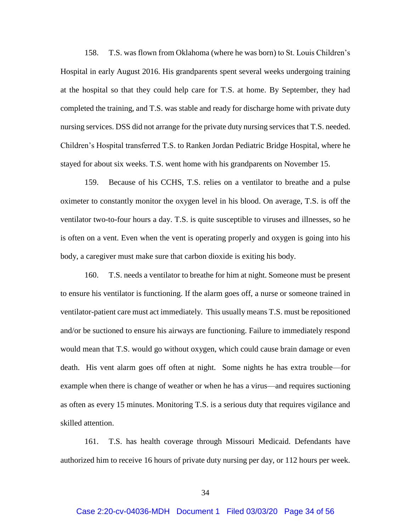158. T.S. was flown from Oklahoma (where he was born) to St. Louis Children's Hospital in early August 2016. His grandparents spent several weeks undergoing training at the hospital so that they could help care for T.S. at home. By September, they had completed the training, and T.S. was stable and ready for discharge home with private duty nursing services. DSS did not arrange for the private duty nursing services that T.S. needed. Children's Hospital transferred T.S. to Ranken Jordan Pediatric Bridge Hospital, where he stayed for about six weeks. T.S. went home with his grandparents on November 15.

159. Because of his CCHS, T.S. relies on a ventilator to breathe and a pulse oximeter to constantly monitor the oxygen level in his blood. On average, T.S. is off the ventilator two-to-four hours a day. T.S. is quite susceptible to viruses and illnesses, so he is often on a vent. Even when the vent is operating properly and oxygen is going into his body, a caregiver must make sure that carbon dioxide is exiting his body.

160. T.S. needs a ventilator to breathe for him at night. Someone must be present to ensure his ventilator is functioning. If the alarm goes off, a nurse or someone trained in ventilator-patient care must act immediately. This usually means T.S. must be repositioned and/or be suctioned to ensure his airways are functioning. Failure to immediately respond would mean that T.S. would go without oxygen, which could cause brain damage or even death. His vent alarm goes off often at night. Some nights he has extra trouble—for example when there is change of weather or when he has a virus—and requires suctioning as often as every 15 minutes. Monitoring T.S. is a serious duty that requires vigilance and skilled attention.

161. T.S. has health coverage through Missouri Medicaid. Defendants have authorized him to receive 16 hours of private duty nursing per day, or 112 hours per week.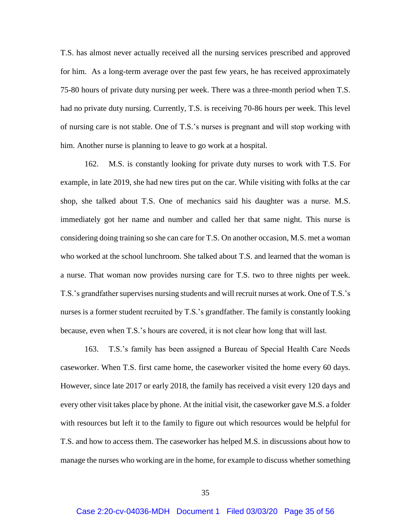T.S. has almost never actually received all the nursing services prescribed and approved for him. As a long-term average over the past few years, he has received approximately 75-80 hours of private duty nursing per week. There was a three-month period when T.S. had no private duty nursing. Currently, T.S. is receiving 70-86 hours per week. This level of nursing care is not stable. One of T.S.'s nurses is pregnant and will stop working with him. Another nurse is planning to leave to go work at a hospital.

162. M.S. is constantly looking for private duty nurses to work with T.S. For example, in late 2019, she had new tires put on the car. While visiting with folks at the car shop, she talked about T.S. One of mechanics said his daughter was a nurse. M.S. immediately got her name and number and called her that same night. This nurse is considering doing training so she can care for T.S. On another occasion, M.S. met a woman who worked at the school lunchroom. She talked about T.S. and learned that the woman is a nurse. That woman now provides nursing care for T.S. two to three nights per week. T.S.'s grandfather supervises nursing students and will recruit nurses at work. One of T.S.'s nurses is a former student recruited by T.S.'s grandfather. The family is constantly looking because, even when T.S.'s hours are covered, it is not clear how long that will last.

163. T.S.'s family has been assigned a Bureau of Special Health Care Needs caseworker. When T.S. first came home, the caseworker visited the home every 60 days. However, since late 2017 or early 2018, the family has received a visit every 120 days and every other visit takes place by phone. At the initial visit, the caseworker gave M.S. a folder with resources but left it to the family to figure out which resources would be helpful for T.S. and how to access them. The caseworker has helped M.S. in discussions about how to manage the nurses who working are in the home, for example to discuss whether something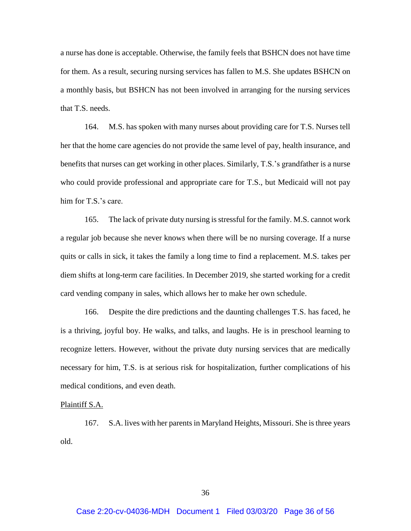a nurse has done is acceptable. Otherwise, the family feels that BSHCN does not have time for them. As a result, securing nursing services has fallen to M.S. She updates BSHCN on a monthly basis, but BSHCN has not been involved in arranging for the nursing services that T.S. needs.

164. M.S. has spoken with many nurses about providing care for T.S. Nurses tell her that the home care agencies do not provide the same level of pay, health insurance, and benefits that nurses can get working in other places. Similarly, T.S.'s grandfather is a nurse who could provide professional and appropriate care for T.S., but Medicaid will not pay him for T.S.'s care.

165. The lack of private duty nursing is stressful for the family. M.S. cannot work a regular job because she never knows when there will be no nursing coverage. If a nurse quits or calls in sick, it takes the family a long time to find a replacement. M.S. takes per diem shifts at long-term care facilities. In December 2019, she started working for a credit card vending company in sales, which allows her to make her own schedule.

166. Despite the dire predictions and the daunting challenges T.S. has faced, he is a thriving, joyful boy. He walks, and talks, and laughs. He is in preschool learning to recognize letters. However, without the private duty nursing services that are medically necessary for him, T.S. is at serious risk for hospitalization, further complications of his medical conditions, and even death.

### Plaintiff S.A.

167. S.A. lives with her parents in Maryland Heights, Missouri. She is three years old.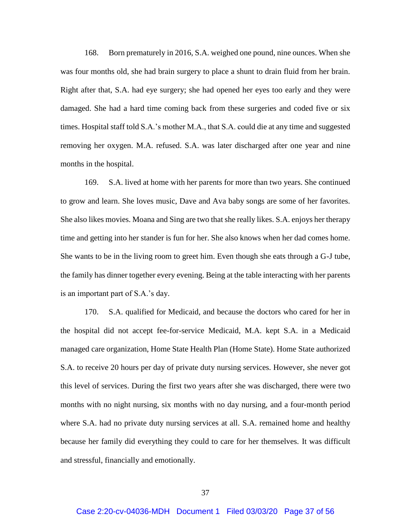168. Born prematurely in 2016, S.A. weighed one pound, nine ounces. When she was four months old, she had brain surgery to place a shunt to drain fluid from her brain. Right after that, S.A. had eye surgery; she had opened her eyes too early and they were damaged. She had a hard time coming back from these surgeries and coded five or six times. Hospital staff told S.A.'s mother M.A., that S.A. could die at any time and suggested removing her oxygen. M.A. refused. S.A. was later discharged after one year and nine months in the hospital.

169. S.A. lived at home with her parents for more than two years. She continued to grow and learn. She loves music, Dave and Ava baby songs are some of her favorites. She also likes movies. Moana and Sing are two that she really likes. S.A. enjoys her therapy time and getting into her stander is fun for her. She also knows when her dad comes home. She wants to be in the living room to greet him. Even though she eats through a G-J tube, the family has dinner together every evening. Being at the table interacting with her parents is an important part of S.A.'s day.

170. S.A. qualified for Medicaid, and because the doctors who cared for her in the hospital did not accept fee-for-service Medicaid, M.A. kept S.A. in a Medicaid managed care organization, Home State Health Plan (Home State). Home State authorized S.A. to receive 20 hours per day of private duty nursing services. However, she never got this level of services. During the first two years after she was discharged, there were two months with no night nursing, six months with no day nursing, and a four-month period where S.A. had no private duty nursing services at all. S.A. remained home and healthy because her family did everything they could to care for her themselves. It was difficult and stressful, financially and emotionally.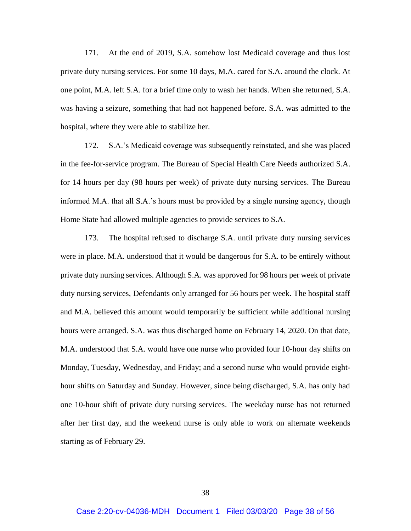171. At the end of 2019, S.A. somehow lost Medicaid coverage and thus lost private duty nursing services. For some 10 days, M.A. cared for S.A. around the clock. At one point, M.A. left S.A. for a brief time only to wash her hands. When she returned, S.A. was having a seizure, something that had not happened before. S.A. was admitted to the hospital, where they were able to stabilize her.

172. S.A.'s Medicaid coverage was subsequently reinstated, and she was placed in the fee-for-service program. The Bureau of Special Health Care Needs authorized S.A. for 14 hours per day (98 hours per week) of private duty nursing services. The Bureau informed M.A. that all S.A.'s hours must be provided by a single nursing agency, though Home State had allowed multiple agencies to provide services to S.A.

173. The hospital refused to discharge S.A. until private duty nursing services were in place. M.A. understood that it would be dangerous for S.A. to be entirely without private duty nursing services. Although S.A. was approved for 98 hours per week of private duty nursing services, Defendants only arranged for 56 hours per week. The hospital staff and M.A. believed this amount would temporarily be sufficient while additional nursing hours were arranged. S.A. was thus discharged home on February 14, 2020. On that date, M.A. understood that S.A. would have one nurse who provided four 10-hour day shifts on Monday, Tuesday, Wednesday, and Friday; and a second nurse who would provide eighthour shifts on Saturday and Sunday. However, since being discharged, S.A. has only had one 10-hour shift of private duty nursing services. The weekday nurse has not returned after her first day, and the weekend nurse is only able to work on alternate weekends starting as of February 29.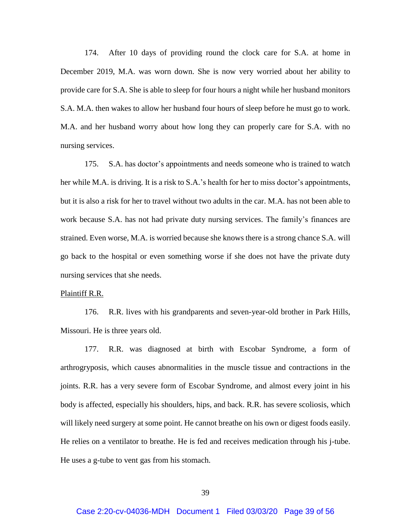174. After 10 days of providing round the clock care for S.A. at home in December 2019, M.A. was worn down. She is now very worried about her ability to provide care for S.A. She is able to sleep for four hours a night while her husband monitors S.A. M.A. then wakes to allow her husband four hours of sleep before he must go to work. M.A. and her husband worry about how long they can properly care for S.A. with no nursing services.

175. S.A. has doctor's appointments and needs someone who is trained to watch her while M.A. is driving. It is a risk to S.A.'s health for her to miss doctor's appointments, but it is also a risk for her to travel without two adults in the car. M.A. has not been able to work because S.A. has not had private duty nursing services. The family's finances are strained. Even worse, M.A. is worried because she knows there is a strong chance S.A. will go back to the hospital or even something worse if she does not have the private duty nursing services that she needs.

#### Plaintiff R.R.

176. R.R. lives with his grandparents and seven-year-old brother in Park Hills, Missouri. He is three years old.

177. R.R. was diagnosed at birth with Escobar Syndrome, a form of arthrogryposis, which causes abnormalities in the muscle tissue and contractions in the joints. R.R. has a very severe form of Escobar Syndrome, and almost every joint in his body is affected, especially his shoulders, hips, and back. R.R. has severe scoliosis, which will likely need surgery at some point. He cannot breathe on his own or digest foods easily. He relies on a ventilator to breathe. He is fed and receives medication through his j-tube. He uses a g-tube to vent gas from his stomach.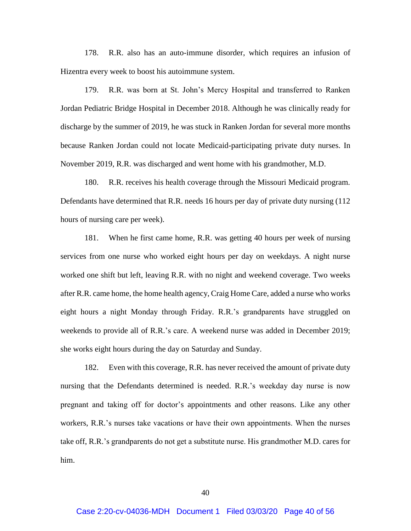178. R.R. also has an auto-immune disorder, which requires an infusion of Hizentra every week to boost his autoimmune system.

179. R.R. was born at St. John's Mercy Hospital and transferred to Ranken Jordan Pediatric Bridge Hospital in December 2018. Although he was clinically ready for discharge by the summer of 2019, he was stuck in Ranken Jordan for several more months because Ranken Jordan could not locate Medicaid-participating private duty nurses. In November 2019, R.R. was discharged and went home with his grandmother, M.D.

180. R.R. receives his health coverage through the Missouri Medicaid program. Defendants have determined that R.R. needs 16 hours per day of private duty nursing (112 hours of nursing care per week).

181. When he first came home, R.R. was getting 40 hours per week of nursing services from one nurse who worked eight hours per day on weekdays. A night nurse worked one shift but left, leaving R.R. with no night and weekend coverage. Two weeks after R.R. came home, the home health agency, Craig Home Care, added a nurse who works eight hours a night Monday through Friday. R.R.'s grandparents have struggled on weekends to provide all of R.R.'s care. A weekend nurse was added in December 2019; she works eight hours during the day on Saturday and Sunday.

182. Even with this coverage, R.R. has never received the amount of private duty nursing that the Defendants determined is needed. R.R.'s weekday day nurse is now pregnant and taking off for doctor's appointments and other reasons. Like any other workers, R.R.'s nurses take vacations or have their own appointments. When the nurses take off, R.R.'s grandparents do not get a substitute nurse. His grandmother M.D. cares for him.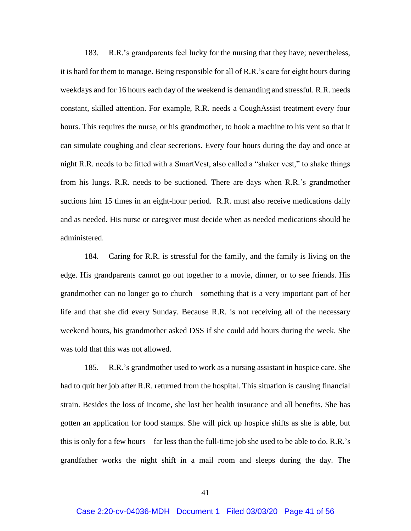183. R.R.'s grandparents feel lucky for the nursing that they have; nevertheless, it is hard for them to manage. Being responsible for all of R.R.'s care for eight hours during weekdays and for 16 hours each day of the weekend is demanding and stressful. R.R. needs constant, skilled attention. For example, R.R. needs a CoughAssist treatment every four hours. This requires the nurse, or his grandmother, to hook a machine to his vent so that it can simulate coughing and clear secretions. Every four hours during the day and once at night R.R. needs to be fitted with a SmartVest, also called a "shaker vest," to shake things from his lungs. R.R. needs to be suctioned. There are days when R.R.'s grandmother suctions him 15 times in an eight-hour period. R.R. must also receive medications daily and as needed. His nurse or caregiver must decide when as needed medications should be administered.

184. Caring for R.R. is stressful for the family, and the family is living on the edge. His grandparents cannot go out together to a movie, dinner, or to see friends. His grandmother can no longer go to church—something that is a very important part of her life and that she did every Sunday. Because R.R. is not receiving all of the necessary weekend hours, his grandmother asked DSS if she could add hours during the week. She was told that this was not allowed.

185. R.R.'s grandmother used to work as a nursing assistant in hospice care. She had to quit her job after R.R. returned from the hospital. This situation is causing financial strain. Besides the loss of income, she lost her health insurance and all benefits. She has gotten an application for food stamps. She will pick up hospice shifts as she is able, but this is only for a few hours—far less than the full-time job she used to be able to do. R.R.'s grandfather works the night shift in a mail room and sleeps during the day. The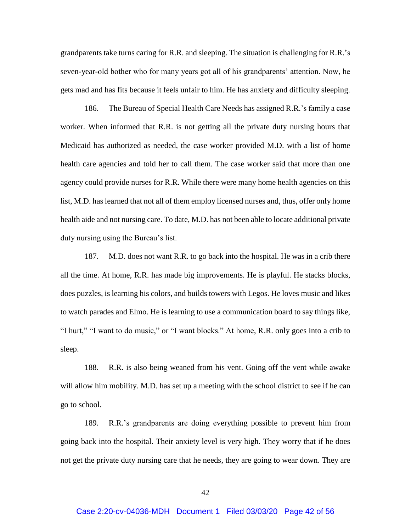grandparents take turns caring for R.R. and sleeping. The situation is challenging for R.R.'s seven-year-old bother who for many years got all of his grandparents' attention. Now, he gets mad and has fits because it feels unfair to him. He has anxiety and difficulty sleeping.

186. The Bureau of Special Health Care Needs has assigned R.R.'s family a case worker. When informed that R.R. is not getting all the private duty nursing hours that Medicaid has authorized as needed, the case worker provided M.D. with a list of home health care agencies and told her to call them. The case worker said that more than one agency could provide nurses for R.R. While there were many home health agencies on this list, M.D. has learned that not all of them employ licensed nurses and, thus, offer only home health aide and not nursing care. To date, M.D. has not been able to locate additional private duty nursing using the Bureau's list.

187. M.D. does not want R.R. to go back into the hospital. He was in a crib there all the time. At home, R.R. has made big improvements. He is playful. He stacks blocks, does puzzles, is learning his colors, and builds towers with Legos. He loves music and likes to watch parades and Elmo. He is learning to use a communication board to say things like, "I hurt," "I want to do music," or "I want blocks." At home, R.R. only goes into a crib to sleep.

188. R.R. is also being weaned from his vent. Going off the vent while awake will allow him mobility. M.D. has set up a meeting with the school district to see if he can go to school.

189. R.R.'s grandparents are doing everything possible to prevent him from going back into the hospital. Their anxiety level is very high. They worry that if he does not get the private duty nursing care that he needs, they are going to wear down. They are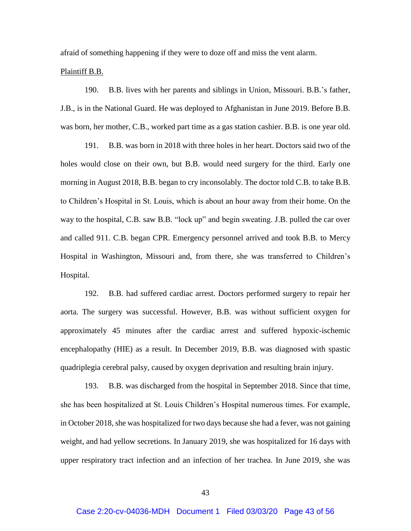afraid of something happening if they were to doze off and miss the vent alarm.

### Plaintiff B.B.

190. B.B. lives with her parents and siblings in Union, Missouri. B.B.'s father, J.B., is in the National Guard. He was deployed to Afghanistan in June 2019. Before B.B. was born, her mother, C.B., worked part time as a gas station cashier. B.B. is one year old.

191. B.B. was born in 2018 with three holes in her heart. Doctors said two of the holes would close on their own, but B.B. would need surgery for the third. Early one morning in August 2018, B.B. began to cry inconsolably. The doctor told C.B. to take B.B. to Children's Hospital in St. Louis, which is about an hour away from their home. On the way to the hospital, C.B. saw B.B. "lock up" and begin sweating. J.B. pulled the car over and called 911. C.B. began CPR. Emergency personnel arrived and took B.B. to Mercy Hospital in Washington, Missouri and, from there, she was transferred to Children's Hospital.

192. B.B. had suffered cardiac arrest. Doctors performed surgery to repair her aorta. The surgery was successful. However, B.B. was without sufficient oxygen for approximately 45 minutes after the cardiac arrest and suffered hypoxic-ischemic encephalopathy (HIE) as a result. In December 2019, B.B. was diagnosed with spastic quadriplegia cerebral palsy, caused by oxygen deprivation and resulting brain injury.

193. B.B. was discharged from the hospital in September 2018. Since that time, she has been hospitalized at St. Louis Children's Hospital numerous times. For example, in October 2018, she was hospitalized for two days because she had a fever, was not gaining weight, and had yellow secretions. In January 2019, she was hospitalized for 16 days with upper respiratory tract infection and an infection of her trachea. In June 2019, she was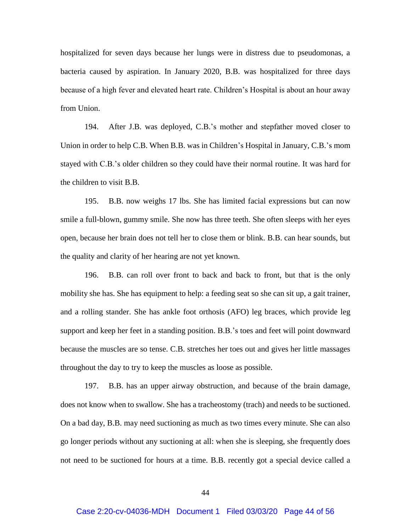hospitalized for seven days because her lungs were in distress due to pseudomonas, a bacteria caused by aspiration. In January 2020, B.B. was hospitalized for three days because of a high fever and elevated heart rate. Children's Hospital is about an hour away from Union.

194. After J.B. was deployed, C.B.'s mother and stepfather moved closer to Union in order to help C.B. When B.B. was in Children's Hospital in January, C.B.'s mom stayed with C.B.'s older children so they could have their normal routine. It was hard for the children to visit B.B.

195. B.B. now weighs 17 lbs. She has limited facial expressions but can now smile a full-blown, gummy smile. She now has three teeth. She often sleeps with her eyes open, because her brain does not tell her to close them or blink. B.B. can hear sounds, but the quality and clarity of her hearing are not yet known.

196. B.B. can roll over front to back and back to front, but that is the only mobility she has. She has equipment to help: a feeding seat so she can sit up, a gait trainer, and a rolling stander. She has ankle foot orthosis (AFO) leg braces, which provide leg support and keep her feet in a standing position. B.B.'s toes and feet will point downward because the muscles are so tense. C.B. stretches her toes out and gives her little massages throughout the day to try to keep the muscles as loose as possible.

197. B.B. has an upper airway obstruction, and because of the brain damage, does not know when to swallow. She has a tracheostomy (trach) and needs to be suctioned. On a bad day, B.B. may need suctioning as much as two times every minute. She can also go longer periods without any suctioning at all: when she is sleeping, she frequently does not need to be suctioned for hours at a time. B.B. recently got a special device called a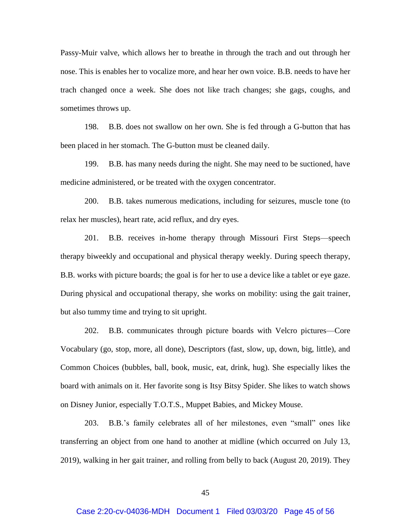Passy-Muir valve, which allows her to breathe in through the trach and out through her nose. This is enables her to vocalize more, and hear her own voice. B.B. needs to have her trach changed once a week. She does not like trach changes; she gags, coughs, and sometimes throws up.

198. B.B. does not swallow on her own. She is fed through a G-button that has been placed in her stomach. The G-button must be cleaned daily.

199. B.B. has many needs during the night. She may need to be suctioned, have medicine administered, or be treated with the oxygen concentrator.

200. B.B. takes numerous medications, including for seizures, muscle tone (to relax her muscles), heart rate, acid reflux, and dry eyes.

201. B.B. receives in-home therapy through Missouri First Steps—speech therapy biweekly and occupational and physical therapy weekly. During speech therapy, B.B. works with picture boards; the goal is for her to use a device like a tablet or eye gaze. During physical and occupational therapy, she works on mobility: using the gait trainer, but also tummy time and trying to sit upright.

202. B.B. communicates through picture boards with Velcro pictures—Core Vocabulary (go, stop, more, all done), Descriptors (fast, slow, up, down, big, little), and Common Choices (bubbles, ball, book, music, eat, drink, hug). She especially likes the board with animals on it. Her favorite song is Itsy Bitsy Spider. She likes to watch shows on Disney Junior, especially T.O.T.S., Muppet Babies, and Mickey Mouse.

203. B.B.'s family celebrates all of her milestones, even "small" ones like transferring an object from one hand to another at midline (which occurred on July 13, 2019), walking in her gait trainer, and rolling from belly to back (August 20, 2019). They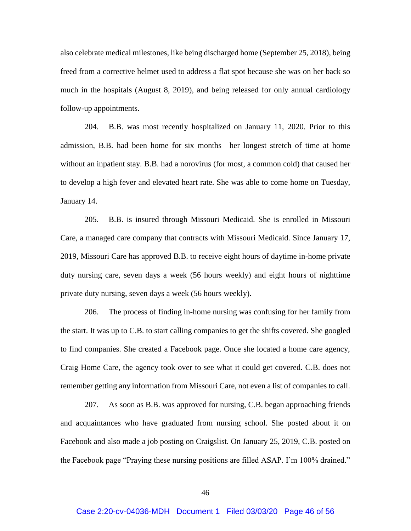also celebrate medical milestones, like being discharged home (September 25, 2018), being freed from a corrective helmet used to address a flat spot because she was on her back so much in the hospitals (August 8, 2019), and being released for only annual cardiology follow-up appointments.

204. B.B. was most recently hospitalized on January 11, 2020. Prior to this admission, B.B. had been home for six months—her longest stretch of time at home without an inpatient stay. B.B. had a norovirus (for most, a common cold) that caused her to develop a high fever and elevated heart rate. She was able to come home on Tuesday, January 14.

205. B.B. is insured through Missouri Medicaid. She is enrolled in Missouri Care, a managed care company that contracts with Missouri Medicaid. Since January 17, 2019, Missouri Care has approved B.B. to receive eight hours of daytime in-home private duty nursing care, seven days a week (56 hours weekly) and eight hours of nighttime private duty nursing, seven days a week (56 hours weekly).

206. The process of finding in-home nursing was confusing for her family from the start. It was up to C.B. to start calling companies to get the shifts covered. She googled to find companies. She created a Facebook page. Once she located a home care agency, Craig Home Care, the agency took over to see what it could get covered. C.B. does not remember getting any information from Missouri Care, not even a list of companies to call.

207. As soon as B.B. was approved for nursing, C.B. began approaching friends and acquaintances who have graduated from nursing school. She posted about it on Facebook and also made a job posting on Craigslist. On January 25, 2019, C.B. posted on the Facebook page "Praying these nursing positions are filled ASAP. I'm 100% drained."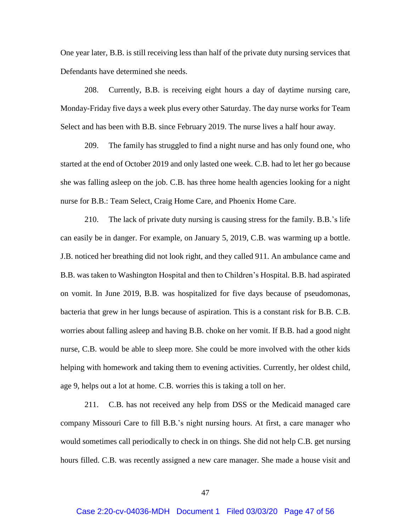One year later, B.B. is still receiving less than half of the private duty nursing services that Defendants have determined she needs.

208. Currently, B.B. is receiving eight hours a day of daytime nursing care, Monday-Friday five days a week plus every other Saturday. The day nurse works for Team Select and has been with B.B. since February 2019. The nurse lives a half hour away.

209. The family has struggled to find a night nurse and has only found one, who started at the end of October 2019 and only lasted one week. C.B. had to let her go because she was falling asleep on the job. C.B. has three home health agencies looking for a night nurse for B.B.: Team Select, Craig Home Care, and Phoenix Home Care.

210. The lack of private duty nursing is causing stress for the family. B.B.'s life can easily be in danger. For example, on January 5, 2019, C.B. was warming up a bottle. J.B. noticed her breathing did not look right, and they called 911. An ambulance came and B.B. was taken to Washington Hospital and then to Children's Hospital. B.B. had aspirated on vomit. In June 2019, B.B. was hospitalized for five days because of pseudomonas, bacteria that grew in her lungs because of aspiration. This is a constant risk for B.B. C.B. worries about falling asleep and having B.B. choke on her vomit. If B.B. had a good night nurse, C.B. would be able to sleep more. She could be more involved with the other kids helping with homework and taking them to evening activities. Currently, her oldest child, age 9, helps out a lot at home. C.B. worries this is taking a toll on her.

211. C.B. has not received any help from DSS or the Medicaid managed care company Missouri Care to fill B.B.'s night nursing hours. At first, a care manager who would sometimes call periodically to check in on things. She did not help C.B. get nursing hours filled. C.B. was recently assigned a new care manager. She made a house visit and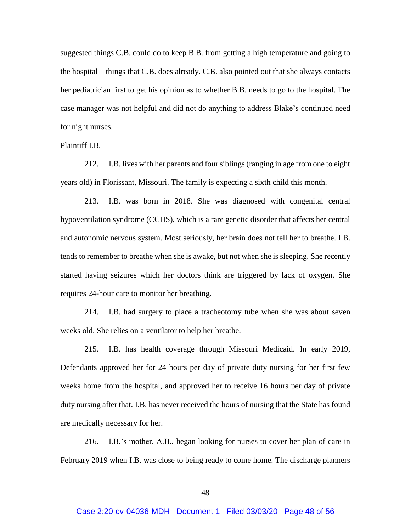suggested things C.B. could do to keep B.B. from getting a high temperature and going to the hospital—things that C.B. does already. C.B. also pointed out that she always contacts her pediatrician first to get his opinion as to whether B.B. needs to go to the hospital. The case manager was not helpful and did not do anything to address Blake's continued need for night nurses.

#### Plaintiff I.B.

212. I.B. lives with her parents and four siblings (ranging in age from one to eight years old) in Florissant, Missouri. The family is expecting a sixth child this month.

213. I.B. was born in 2018. She was diagnosed with congenital central hypoventilation syndrome (CCHS), which is a rare genetic disorder that affects her central and autonomic nervous system. Most seriously, her brain does not tell her to breathe. I.B. tends to remember to breathe when she is awake, but not when she is sleeping. She recently started having seizures which her doctors think are triggered by lack of oxygen. She requires 24-hour care to monitor her breathing.

214. I.B. had surgery to place a tracheotomy tube when she was about seven weeks old. She relies on a ventilator to help her breathe.

215. I.B. has health coverage through Missouri Medicaid. In early 2019, Defendants approved her for 24 hours per day of private duty nursing for her first few weeks home from the hospital, and approved her to receive 16 hours per day of private duty nursing after that. I.B. has never received the hours of nursing that the State has found are medically necessary for her.

216. I.B.'s mother, A.B., began looking for nurses to cover her plan of care in February 2019 when I.B. was close to being ready to come home. The discharge planners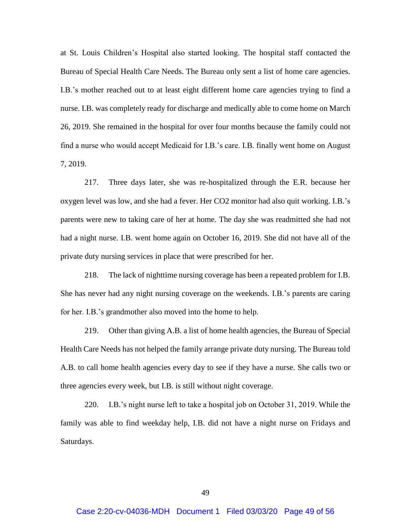at St. Louis Children's Hospital also started looking. The hospital staff contacted the Bureau of Special Health Care Needs. The Bureau only sent a list of home care agencies. I.B.'s mother reached out to at least eight different home care agencies trying to find a nurse. I.B. was completely ready for discharge and medically able to come home on March 26, 2019. She remained in the hospital for over four months because the family could not find a nurse who would accept Medicaid for I.B.'s care. I.B. finally went home on August 7, 2019.

217. Three days later, she was re-hospitalized through the E.R. because her oxygen level was low, and she had a fever. Her CO2 monitor had also quit working. I.B.'s parents were new to taking care of her at home. The day she was readmitted she had not had a night nurse. I.B. went home again on October 16, 2019. She did not have all of the private duty nursing services in place that were prescribed for her.

218. The lack of nighttime nursing coverage has been a repeated problem for I.B. She has never had any night nursing coverage on the weekends. I.B.'s parents are caring for her. I.B.'s grandmother also moved into the home to help.

219. Other than giving A.B. a list of home health agencies, the Bureau of Special Health Care Needs has not helped the family arrange private duty nursing. The Bureau told A.B. to call home health agencies every day to see if they have a nurse. She calls two or three agencies every week, but I.B. is still without night coverage.

220. I.B.'s night nurse left to take a hospital job on October 31, 2019. While the family was able to find weekday help, I.B. did not have a night nurse on Fridays and Saturdays.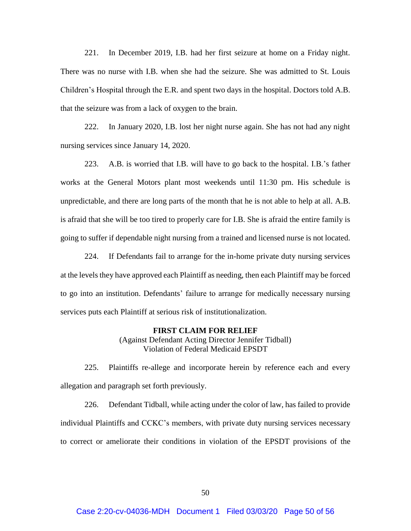221. In December 2019, I.B. had her first seizure at home on a Friday night. There was no nurse with I.B. when she had the seizure. She was admitted to St. Louis Children's Hospital through the E.R. and spent two days in the hospital. Doctors told A.B. that the seizure was from a lack of oxygen to the brain.

222. In January 2020, I.B. lost her night nurse again. She has not had any night nursing services since January 14, 2020.

223. A.B. is worried that I.B. will have to go back to the hospital. I.B.'s father works at the General Motors plant most weekends until 11:30 pm. His schedule is unpredictable, and there are long parts of the month that he is not able to help at all. A.B. is afraid that she will be too tired to properly care for I.B. She is afraid the entire family is going to suffer if dependable night nursing from a trained and licensed nurse is not located.

224. If Defendants fail to arrange for the in-home private duty nursing services at the levels they have approved each Plaintiff as needing, then each Plaintiff may be forced to go into an institution. Defendants' failure to arrange for medically necessary nursing services puts each Plaintiff at serious risk of institutionalization.

#### **FIRST CLAIM FOR RELIEF**

(Against Defendant Acting Director Jennifer Tidball) Violation of Federal Medicaid EPSDT

225. Plaintiffs re-allege and incorporate herein by reference each and every allegation and paragraph set forth previously.

226. Defendant Tidball, while acting under the color of law, has failed to provide individual Plaintiffs and CCKC's members, with private duty nursing services necessary to correct or ameliorate their conditions in violation of the EPSDT provisions of the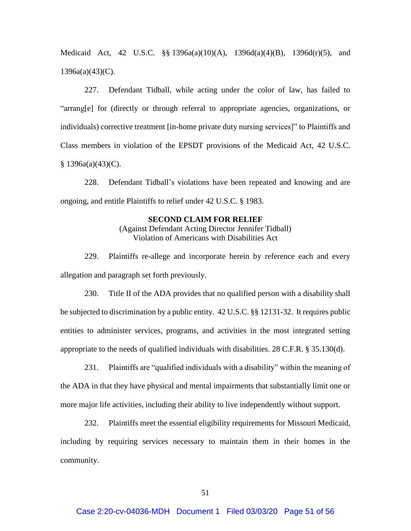Medicaid Act, 42 U.S.C. §§ 1396a(a)(10)(A), 1396d(a)(4)(B), 1396d(r)(5), and 1396a(a)(43)(C).

227. Defendant Tidball, while acting under the color of law, has failed to "arrang[e] for (directly or through referral to appropriate agencies, organizations, or individuals) corrective treatment [in-home private duty nursing services]" to Plaintiffs and Class members in violation of the EPSDT provisions of the Medicaid Act, 42 U.S.C.  $$ 1396a(a)(43)(C).$ 

228. Defendant Tidball's violations have been repeated and knowing and are ongoing, and entitle Plaintiffs to relief under 42 U.S.C. § 1983.

### **SECOND CLAIM FOR RELIEF**

(Against Defendant Acting Director Jennifer Tidball) Violation of Americans with Disabilities Act

229. Plaintiffs re-allege and incorporate herein by reference each and every allegation and paragraph set forth previously.

230. Title II of the ADA provides that no qualified person with a disability shall be subjected to discrimination by a public entity. 42 U.S.C. §§ 12131-32. It requires public entities to administer services, programs, and activities in the most integrated setting appropriate to the needs of qualified individuals with disabilities. 28 C.F.R. § 35.130(d).

231. Plaintiffs are "qualified individuals with a disability" within the meaning of the ADA in that they have physical and mental impairments that substantially limit one or more major life activities, including their ability to live independently without support.

232. Plaintiffs meet the essential eligibility requirements for Missouri Medicaid, including by requiring services necessary to maintain them in their homes in the community.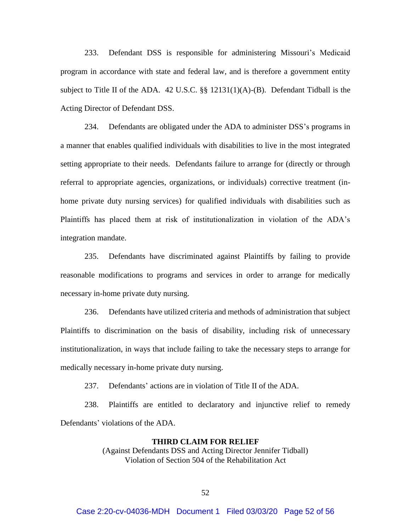233. Defendant DSS is responsible for administering Missouri's Medicaid program in accordance with state and federal law, and is therefore a government entity subject to Title II of the ADA. 42 U.S.C. §§ 12131(1)(A)-(B). Defendant Tidball is the Acting Director of Defendant DSS.

234. Defendants are obligated under the ADA to administer DSS's programs in a manner that enables qualified individuals with disabilities to live in the most integrated setting appropriate to their needs. Defendants failure to arrange for (directly or through referral to appropriate agencies, organizations, or individuals) corrective treatment (inhome private duty nursing services) for qualified individuals with disabilities such as Plaintiffs has placed them at risk of institutionalization in violation of the ADA's integration mandate.

235. Defendants have discriminated against Plaintiffs by failing to provide reasonable modifications to programs and services in order to arrange for medically necessary in-home private duty nursing.

236. Defendants have utilized criteria and methods of administration that subject Plaintiffs to discrimination on the basis of disability, including risk of unnecessary institutionalization, in ways that include failing to take the necessary steps to arrange for medically necessary in-home private duty nursing.

237. Defendants' actions are in violation of Title II of the ADA.

238. Plaintiffs are entitled to declaratory and injunctive relief to remedy Defendants' violations of the ADA.

#### **THIRD CLAIM FOR RELIEF**

(Against Defendants DSS and Acting Director Jennifer Tidball) Violation of Section 504 of the Rehabilitation Act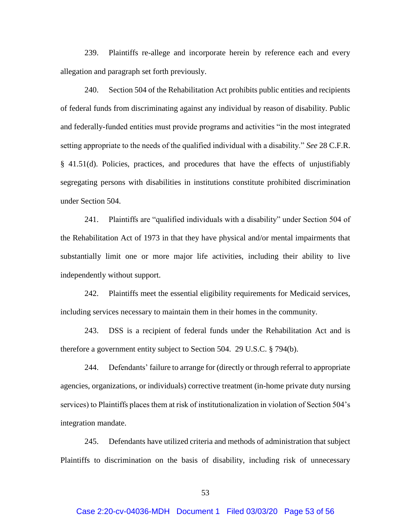239. Plaintiffs re-allege and incorporate herein by reference each and every allegation and paragraph set forth previously.

240. Section 504 of the Rehabilitation Act prohibits public entities and recipients of federal funds from discriminating against any individual by reason of disability. Public and federally-funded entities must provide programs and activities "in the most integrated setting appropriate to the needs of the qualified individual with a disability." *See* 28 C.F.R. § 41.51(d). Policies, practices, and procedures that have the effects of unjustifiably segregating persons with disabilities in institutions constitute prohibited discrimination under Section 504.

241. Plaintiffs are "qualified individuals with a disability" under Section 504 of the Rehabilitation Act of 1973 in that they have physical and/or mental impairments that substantially limit one or more major life activities, including their ability to live independently without support.

242. Plaintiffs meet the essential eligibility requirements for Medicaid services, including services necessary to maintain them in their homes in the community.

243. DSS is a recipient of federal funds under the Rehabilitation Act and is therefore a government entity subject to Section 504. 29 U.S.C. § 794(b).

244. Defendants' failure to arrange for (directly or through referral to appropriate agencies, organizations, or individuals) corrective treatment (in-home private duty nursing services) to Plaintiffs places them at risk of institutionalization in violation of Section 504's integration mandate.

245. Defendants have utilized criteria and methods of administration that subject Plaintiffs to discrimination on the basis of disability, including risk of unnecessary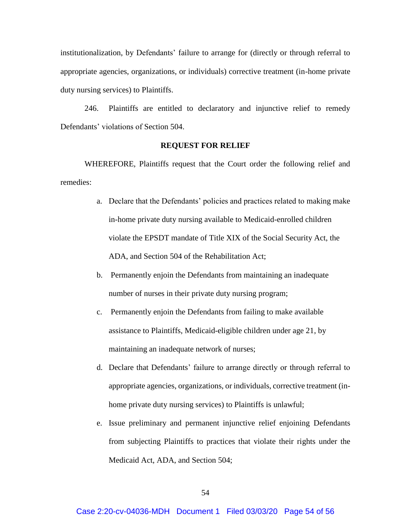institutionalization, by Defendants' failure to arrange for (directly or through referral to appropriate agencies, organizations, or individuals) corrective treatment (in-home private duty nursing services) to Plaintiffs.

246. Plaintiffs are entitled to declaratory and injunctive relief to remedy Defendants' violations of Section 504.

# **REQUEST FOR RELIEF**

WHEREFORE, Plaintiffs request that the Court order the following relief and remedies:

- a. Declare that the Defendants' policies and practices related to making make in-home private duty nursing available to Medicaid-enrolled children violate the EPSDT mandate of Title XIX of the Social Security Act, the ADA, and Section 504 of the Rehabilitation Act;
- b. Permanently enjoin the Defendants from maintaining an inadequate number of nurses in their private duty nursing program;
- c. Permanently enjoin the Defendants from failing to make available assistance to Plaintiffs, Medicaid-eligible children under age 21, by maintaining an inadequate network of nurses;
- d. Declare that Defendants' failure to arrange directly or through referral to appropriate agencies, organizations, or individuals, corrective treatment (inhome private duty nursing services) to Plaintiffs is unlawful;
- e. Issue preliminary and permanent injunctive relief enjoining Defendants from subjecting Plaintiffs to practices that violate their rights under the Medicaid Act, ADA, and Section 504;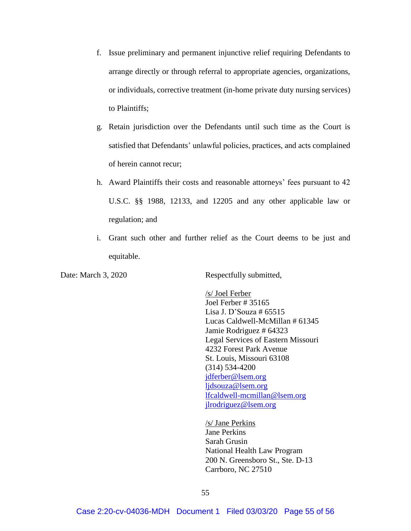- f. Issue preliminary and permanent injunctive relief requiring Defendants to arrange directly or through referral to appropriate agencies, organizations, or individuals, corrective treatment (in-home private duty nursing services) to Plaintiffs;
- g. Retain jurisdiction over the Defendants until such time as the Court is satisfied that Defendants' unlawful policies, practices, and acts complained of herein cannot recur;
- h. Award Plaintiffs their costs and reasonable attorneys' fees pursuant to 42 U.S.C. §§ 1988, 12133, and 12205 and any other applicable law or regulation; and
- i. Grant such other and further relief as the Court deems to be just and equitable.

Date: March 3, 2020 Respectfully submitted,

/s/ Joel Ferber Joel Ferber # 35165 Lisa J. D'Souza # 65515 Lucas Caldwell-McMillan # 61345 Jamie Rodriguez # 64323 Legal Services of Eastern Missouri 4232 Forest Park Avenue St. Louis, Missouri 63108 (314) 534-4200 [jdferber@lsem.org](mailto:jdferber@lsem.org) [ljdsouza@lsem.org](mailto:ljdsouza@lsem.org) [lfcaldwell-mcmillan@lsem.org](mailto:lfcaldwell-mcmillan@lsem.org) [jlrodriguez@lsem.org](mailto:jlrodriguez@lsem.org)

/s/ Jane Perkins Jane Perkins Sarah Grusin National Health Law Program 200 N. Greensboro St., Ste. D-13 Carrboro, NC 27510